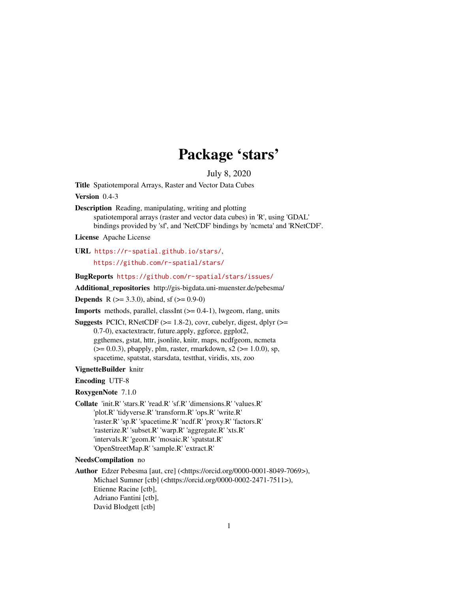## Package 'stars'

July 8, 2020

<span id="page-0-0"></span>Title Spatiotemporal Arrays, Raster and Vector Data Cubes

Version 0.4-3

Description Reading, manipulating, writing and plotting spatiotemporal arrays (raster and vector data cubes) in 'R', using 'GDAL' bindings provided by 'sf', and 'NetCDF' bindings by 'ncmeta' and 'RNetCDF'.

License Apache License

URL <https://r-spatial.github.io/stars/>,

<https://github.com/r-spatial/stars/>

BugReports <https://github.com/r-spatial/stars/issues/>

Additional\_repositories http://gis-bigdata.uni-muenster.de/pebesma/

**Depends** R ( $>= 3.3.0$ ), abind, sf ( $>= 0.9-0$ )

**Imports** methods, parallel, classInt  $(>= 0.4-1)$ , lwgeom, rlang, units

**Suggests** PCICt, RNetCDF ( $>= 1.8-2$ ), covr, cubelyr, digest, dplyr ( $>=$ 0.7-0), exactextractr, future.apply, ggforce, ggplot2, ggthemes, gstat, httr, jsonlite, knitr, maps, ncdfgeom, ncmeta  $(>= 0.0.3)$ , pbapply, plm, raster, rmarkdown, s2  $(>= 1.0.0)$ , sp, spacetime, spatstat, starsdata, testthat, viridis, xts, zoo

## VignetteBuilder knitr

Encoding UTF-8

RoxygenNote 7.1.0

Collate 'init.R' 'stars.R' 'read.R' 'sf.R' 'dimensions.R' 'values.R' 'plot.R' 'tidyverse.R' 'transform.R' 'ops.R' 'write.R' 'raster.R' 'sp.R' 'spacetime.R' 'ncdf.R' 'proxy.R' 'factors.R' 'rasterize.R' 'subset.R' 'warp.R' 'aggregate.R' 'xts.R' 'intervals.R' 'geom.R' 'mosaic.R' 'spatstat.R' 'OpenStreetMap.R' 'sample.R' 'extract.R'

#### NeedsCompilation no

Author Edzer Pebesma [aut, cre] (<https://orcid.org/0000-0001-8049-7069>), Michael Sumner [ctb] (<https://orcid.org/0000-0002-2471-7511>), Etienne Racine [ctb], Adriano Fantini [ctb], David Blodgett [ctb]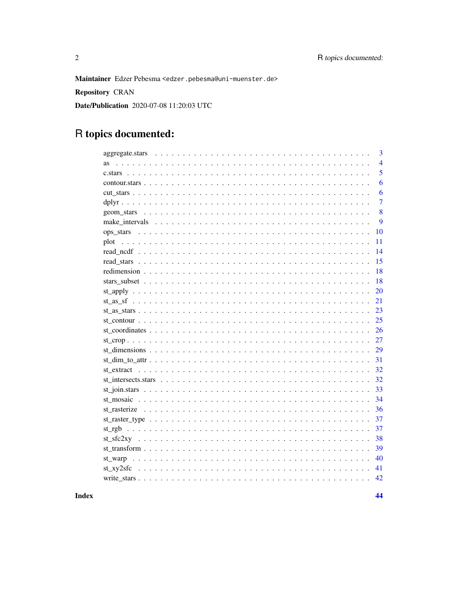Maintainer Edzer Pebesma <edzer.pebesma@uni-muenster.de>

**Repository CRAN** 

Date/Publication 2020-07-08 11:20:03 UTC

## R topics documented:

| aggregate.stars | 3              |
|-----------------|----------------|
| <b>as</b>       | $\overline{4}$ |
|                 | 5              |
|                 | 6              |
|                 | 6              |
|                 | $\overline{7}$ |
|                 | 8              |
|                 | 9              |
|                 | 10             |
| 11<br>plot      |                |
|                 | 14             |
|                 | 15             |
|                 | 18             |
|                 | 18             |
|                 | 20             |
| 21              |                |
|                 | 23             |
|                 | 25             |
|                 | 26             |
|                 | 27             |
|                 | 29             |
| 31              |                |
|                 | 32             |
|                 | 32             |
|                 | 33             |
|                 | 34             |
|                 | 36             |
|                 | 37             |
|                 | 37             |
|                 | 38             |
| 39              |                |
| st_warp         | 40             |
|                 | 41             |
|                 | 42             |
|                 |                |

**Index**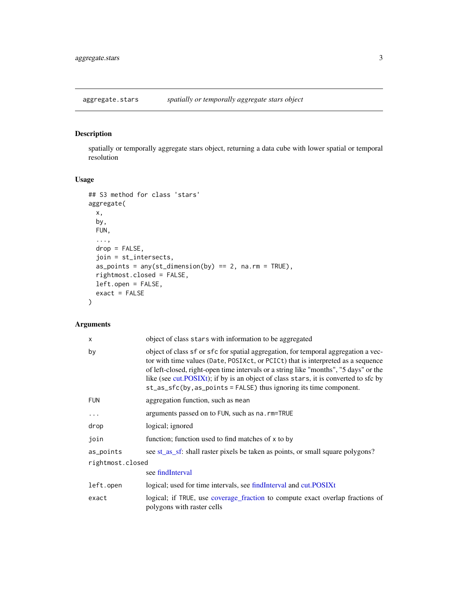<span id="page-2-0"></span>aggregate.stars *spatially or temporally aggregate stars object*

## Description

spatially or temporally aggregate stars object, returning a data cube with lower spatial or temporal resolution

## Usage

```
## S3 method for class 'stars'
aggregate(
  x,
 by,
 FUN,
  ...,
 drop = FALSE,join = st_intersects,
  as_points = any(st\_dimension(by) == 2, na.rm = TRUE),rightmost.closed = FALSE,
 left.open = FALSE,
 exact = FALSE
)
```

| $\times$         | object of class stars with information to be aggregated                                                                                                                                                                                                                                                                                                                                                                                     |
|------------------|---------------------------------------------------------------------------------------------------------------------------------------------------------------------------------------------------------------------------------------------------------------------------------------------------------------------------------------------------------------------------------------------------------------------------------------------|
| by               | object of class sf or sfc for spatial aggregation, for temporal aggregation a vec-<br>tor with time values (Date, POSIXct, or PCICt) that is interpreted as a sequence<br>of left-closed, right-open time intervals or a string like "months", "5 days" or the<br>like (see cut.POSIXt); if by is an object of class stars, it is converted to sfc by<br>$st\_\nsigma_s$ fc(by, as $\_\point s = FALSE$ ) thus ignoring its time component. |
| <b>FUN</b>       | aggregation function, such as mean                                                                                                                                                                                                                                                                                                                                                                                                          |
| $\ddots$         | arguments passed on to FUN, such as na. rm=TRUE                                                                                                                                                                                                                                                                                                                                                                                             |
| drop             | logical; ignored                                                                                                                                                                                                                                                                                                                                                                                                                            |
| join             | function; function used to find matches of x to by                                                                                                                                                                                                                                                                                                                                                                                          |
| as_points        | see st_as_sf: shall raster pixels be taken as points, or small square polygons?                                                                                                                                                                                                                                                                                                                                                             |
| rightmost.closed |                                                                                                                                                                                                                                                                                                                                                                                                                                             |
|                  | see findInterval                                                                                                                                                                                                                                                                                                                                                                                                                            |
| left.open        | logical; used for time intervals, see findInterval and cut.POSIXt                                                                                                                                                                                                                                                                                                                                                                           |
| exact            | logical; if TRUE, use coverage_fraction to compute exact overlap fractions of<br>polygons with raster cells                                                                                                                                                                                                                                                                                                                                 |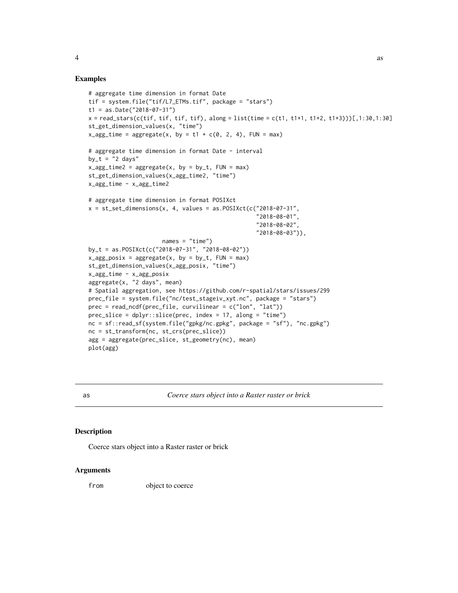#### Examples

```
# aggregate time dimension in format Date
tif = system.file("tif/L7_ETMs.tif", package = "stars")
t1 = as.Date("2018-07-31")
x = read\_stars(c(tif, tif, tif, tif), along = list(time = c(t1, t1+1, t1+2, t1+3)))[1, 1:30, 1:30]st_get_dimension_values(x, "time")
x\text{-}agg\text{-}time = aggregate(x, by = t1 + c(0, 2, 4), FUN = max)# aggregate time dimension in format Date - interval
by_t = "2 days"x\text{-}agg\text{-}time2 = aggregate(x, by = by\text{-}t, FUN = max)st_get_dimension_values(x_agg_time2, "time")
x_agg_time - x_agg_time2
# aggregate time dimension in format POSIXct
x = st_set_dimensions(x, 4, values = as.POSIXct(c("2018-07-31","2018-08-01",
                                                    "2018-08-02",
                                                    "2018-08-03")),
                       names = "time")by_t = as.POSIXct(c("2018-07-31", "2018-08-02"))
x\_\text{agg\_posit} = aggregate(x, by = by_t, FUN = max)
st_get_dimension_values(x_agg_posix, "time")
x_agg_time - x_agg_posix
aggregate(x, "2 days", mean)
# Spatial aggregation, see https://github.com/r-spatial/stars/issues/299
prec_file = system.file("nc/test_stageiv_xyt.nc", package = "stars")
prec = read_ncdf(prec_file, curvilinear = c("lon", "lat"))
prec_slice = dplyr::slice(prec, index = 17, along = "time")
nc = sf::read_sf(system.file("gpkg/nc.gpkg", package = "sf"), "nc.gpkg")
nc = st_transform(nc, st_crs(prec_slice))
agg = aggregate(prec_slice, st_geometry(nc), mean)
plot(agg)
```
as *Coerce stars object into a Raster raster or brick*

## Description

Coerce stars object into a Raster raster or brick

#### Arguments

from object to coerce

<span id="page-3-0"></span>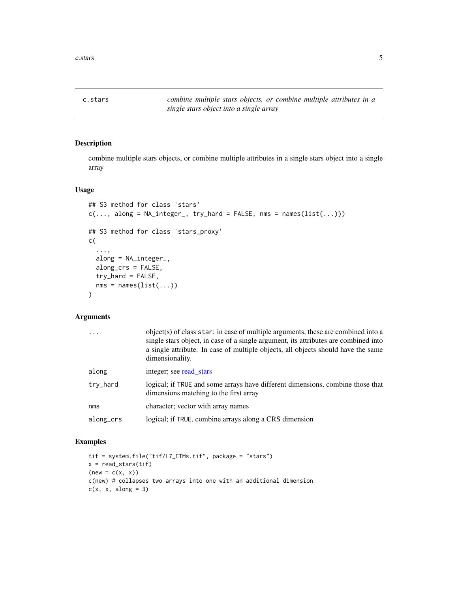<span id="page-4-1"></span><span id="page-4-0"></span>c.stars *combine multiple stars objects, or combine multiple attributes in a single stars object into a single array*

## Description

combine multiple stars objects, or combine multiple attributes in a single stars object into a single array

## Usage

```
## S3 method for class 'stars'
c(\ldots, along = NA_integer_, try_hard = FALSE, nms = names(list(\ldots)))
## S3 method for class 'stars_proxy'
c(
  ...,
  along = NA_integer_,
  along_crs = FALSE,
  try_hard = FALSE,
  nms = names(list(...)))
```
## Arguments

| single stars object, in case of a single argument, its attributes are combined into<br>a single attribute. In case of multiple objects, all objects should have the same |
|--------------------------------------------------------------------------------------------------------------------------------------------------------------------------|
|                                                                                                                                                                          |
| logical; if TRUE and some arrays have different dimensions, combine those that                                                                                           |
|                                                                                                                                                                          |
|                                                                                                                                                                          |
|                                                                                                                                                                          |

```
tif = system.file("tif/L7_ETMs.tif", package = "stars")
x = read\_stars(tif)(new = c(x, x))c(new) # collapses two arrays into one with an additional dimension
c(x, x, along = 3)
```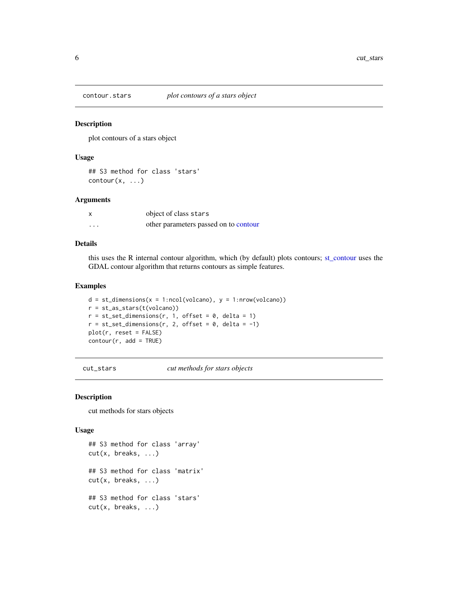<span id="page-5-0"></span>

plot contours of a stars object

## Usage

## S3 method for class 'stars'  $contour(x, \ldots)$ 

#### Arguments

| $\boldsymbol{\mathsf{x}}$ | object of class stars                 |
|---------------------------|---------------------------------------|
| $\cdots$                  | other parameters passed on to contour |

## Details

this uses the R internal contour algorithm, which (by default) plots contours; [st\\_contour](#page-24-1) uses the GDAL contour algorithm that returns contours as simple features.

#### Examples

```
d = st\_dimensions(x = 1:ncol(volcano), y = 1:ncw(volcano))r = st_as_stars(t(volcano))
r = st_set\_dimensions(r, 1, offset = 0, delta = 1)r = st_set_dimensions(r, 2, offset = 0, delta = -1)plot(r, reset = FALSE)
contour(r, add = TRUE)
```
cut\_stars *cut methods for stars objects*

#### Description

cut methods for stars objects

```
## S3 method for class 'array'
cut(x, breaks, ...)
## S3 method for class 'matrix'
cut(x, breaks, ...)
## S3 method for class 'stars'
cut(x, breaks, ...)
```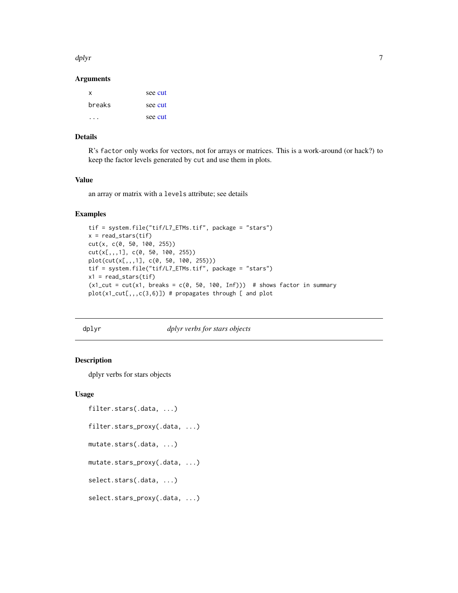<span id="page-6-0"></span>dplyr the contract of the contract of the contract of the contract of the contract of the contract of the contract of the contract of the contract of the contract of the contract of the contract of the contract of the cont

#### Arguments

| x      | see cut |
|--------|---------|
| breaks | see cut |
|        | see cut |

## Details

R's factor only works for vectors, not for arrays or matrices. This is a work-around (or hack?) to keep the factor levels generated by cut and use them in plots.

#### Value

an array or matrix with a levels attribute; see details

## Examples

```
tif = system.file("tif/L7_ETMs.tif", package = "stars")
x = read\_stars(tif)cut(x, c(0, 50, 100, 255))
cut(x[,,1], c(0, 50, 100, 255))plot(cut(x[,,,1], c(0, 50, 100, 255)))
tif = system.file("tif/L7_ETMs.tif", package = "stars")
x1 = read\_stars(tif)(x1-cut = cut(x1, breaks = c(0, 50, 100, Inf))) # shows factor in summary
plot(x1-cut[,,,c(3,6)]) # propagates through [ and plot
```
dplyr *dplyr verbs for stars objects*

## Description

dplyr verbs for stars objects

```
filter.stars(.data, ...)
filter.stars_proxy(.data, ...)
mutate.stars(.data, ...)
mutate.stars_proxy(.data, ...)
select.stars(.data, ...)
select.stars_proxy(.data, ...)
```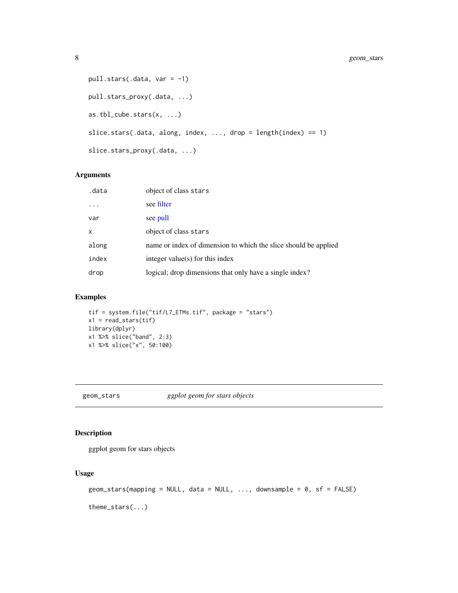```
pull.stars(.data, var = -1)
pull.stars_proxy(.data, ...)
as.tbl_cube.stars(x, ...)
slice.stars(.data, along, index, ..., drop = length(index) == 1)
slice.stars_proxy(.data, ...)
```
## Arguments

| .data    | object of class stars                                           |
|----------|-----------------------------------------------------------------|
| $\ddots$ | see filter                                                      |
| var      | see pull                                                        |
| x        | object of class stars                                           |
| along    | name or index of dimension to which the slice should be applied |
| index    | integer value(s) for this index                                 |
| drop     | logical; drop dimensions that only have a single index?         |

## Examples

```
tif = system.file("tif/L7_ETMs.tif", package = "stars")
x1 = read\_stars(tif)library(dplyr)
x1 %>% slice("band", 2:3)
x1 %>% slice("x", 50:100)
```
geom\_stars *ggplot geom for stars objects*

## Description

ggplot geom for stars objects

```
geom\_stars(mapping = NULL, data = NULL, ..., downsample = 0, sf = FALSE)
```

```
theme_stars(...)
```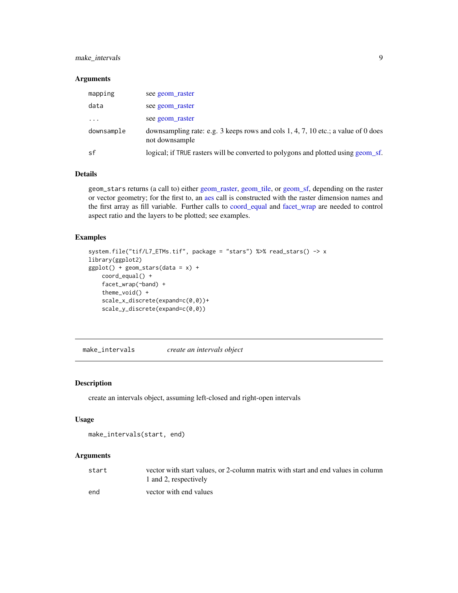## <span id="page-8-0"></span>make\_intervals 9

## Arguments

| mapping    | see geom raster                                                                                     |
|------------|-----------------------------------------------------------------------------------------------------|
| data       | see geom raster                                                                                     |
| $\cdot$    | see geom raster                                                                                     |
| downsample | downsampling rate: e.g. 3 keeps rows and cols 1, 4, 7, 10 etc.; a value of 0 does<br>not downsample |
| sf         | logical; if TRUE rasters will be converted to polygons and plotted using geom sf.                   |

## Details

geom\_stars returns (a call to) either [geom\\_raster,](#page-0-0) [geom\\_tile,](#page-0-0) or [geom\\_sf,](#page-0-0) depending on the raster or vector geometry; for the first to, an [aes](#page-0-0) call is constructed with the raster dimension names and the first array as fill variable. Further calls to [coord\\_equal](#page-0-0) and [facet\\_wrap](#page-0-0) are needed to control aspect ratio and the layers to be plotted; see examples.

#### Examples

```
system.file("tif/L7_ETMs.tif", package = "stars") %>% read_stars() -> x
library(ggplot2)
ggplot() + geom_stars(data = x) +
   coord_equal() +
   facet_wrap(~band) +
   theme_void() +
   scale_x_discrete(expand=c(0,0))+
   scale_y_discrete(expand=c(0,0))
```
make\_intervals *create an intervals object*

## Description

create an intervals object, assuming left-closed and right-open intervals

## Usage

```
make_intervals(start, end)
```

| start | vector with start values, or 2-column matrix with start and end values in column |
|-------|----------------------------------------------------------------------------------|
|       | 1 and 2, respectively                                                            |
| end   | vector with end values                                                           |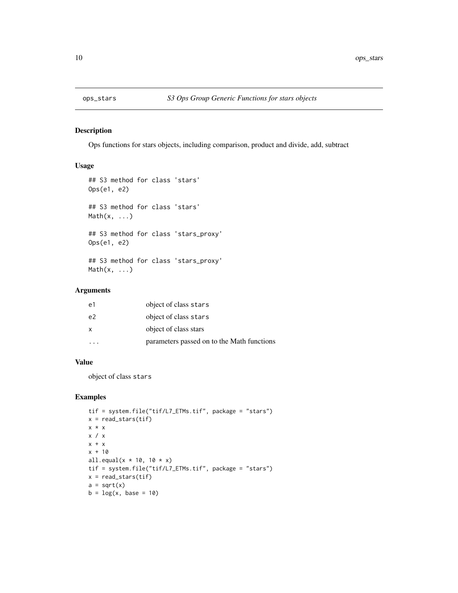<span id="page-9-0"></span>

Ops functions for stars objects, including comparison, product and divide, add, subtract

## Usage

```
## S3 method for class 'stars'
Ops(e1, e2)
## S3 method for class 'stars'
Math(x, \ldots)## S3 method for class 'stars_proxy'
Ops(e1, e2)
## S3 method for class 'stars_proxy'
Math(x, \ldots)
```
## Arguments

| object of class stars<br>e <sup>2</sup><br>object of class stars<br>$\mathsf{x}$ |  |
|----------------------------------------------------------------------------------|--|
|                                                                                  |  |
|                                                                                  |  |
| parameters passed on to the Math functions                                       |  |

## Value

object of class stars

```
tif = system.file("tif/L7_ETMs.tif", package = "stars")
x = read\_stars(tif)x * x
x / x
x + xx + 10
all.equal(x * 10, 10 * x)
tif = system.file("tif/L7_ETMs.tif", package = "stars")
x = read\_stars(tif)a = sqrt(x)b = log(x, base = 10)
```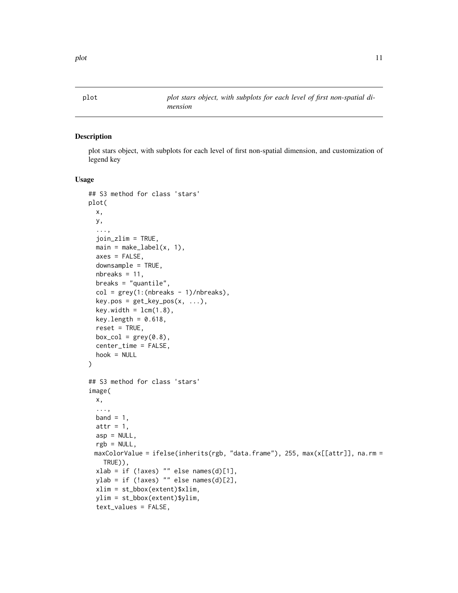<span id="page-10-0"></span>plot *plot stars object, with subplots for each level of first non-spatial dimension*

## Description

plot stars object, with subplots for each level of first non-spatial dimension, and customization of legend key

```
## S3 method for class 'stars'
plot(
 x,
 y,
  ...,
  join_zlim = TRUE,
  main = make\_label(x, 1),axes = FALSE,downsample = TRUE,
  nbreaks = 11,
  breaks = "quantile",
  col = grey(1:(nbreaks - 1)/nbreaks),key.pos = get\_key_pos(x, ...),key.width = lcm(1.8),
  key.length = 0.618,reset = TRUE,box_col = grey(0.8),
  center_time = FALSE,
  hook = NULL
)
## S3 method for class 'stars'
image(
 x,
  ...,
 band = 1,
  attr = 1,asp = NULL,rgb = NULL,maxColorValue = ifelse(inherits(rgb, "data.frame"), 255, max(x[[attr]], na.rm =
    TRUE)),
  xlab = if (!axes) "" else names(d)[1],
  ylab = if (!axes) "" else names(d)[2],
  xlim = st_bbox(extent)$xlim,
  ylim = st_bbox(extent)$ylim,
  text_values = FALSE,
```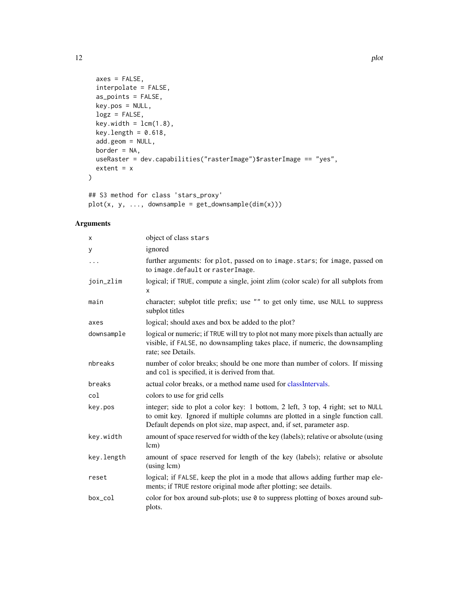```
axes = FALSE,interpolate = FALSE,
 as_points = FALSE,
 key.pos = NULL,
 log z = FALSE,key.util = lcm(1.8),
 key.length = 0.618,
 add.geom = NULL,
 border = NA,
 useRaster = dev.capabilities("rasterImage")$rasterImage == "yes",
 extent = x\mathcal{L}
```

```
## S3 method for class 'stars_proxy'
plot(x, y, ..., downsample = get\_downsample(dim(x)))
```

| X          | object of class stars                                                                                                                                                                                                                        |
|------------|----------------------------------------------------------------------------------------------------------------------------------------------------------------------------------------------------------------------------------------------|
| у          | ignored                                                                                                                                                                                                                                      |
| $\ddots$   | further arguments: for plot, passed on to image.stars; for image, passed on<br>to image.default or rasterImage.                                                                                                                              |
| join_zlim  | logical; if TRUE, compute a single, joint zlim (color scale) for all subplots from<br>X                                                                                                                                                      |
| main       | character; subplot title prefix; use "" to get only time, use NULL to suppress<br>subplot titles                                                                                                                                             |
| axes       | logical; should axes and box be added to the plot?                                                                                                                                                                                           |
| downsample | logical or numeric; if TRUE will try to plot not many more pixels than actually are<br>visible, if FALSE, no downsampling takes place, if numeric, the downsampling<br>rate; see Details.                                                    |
| nbreaks    | number of color breaks; should be one more than number of colors. If missing<br>and col is specified, it is derived from that.                                                                                                               |
| breaks     | actual color breaks, or a method name used for classIntervals.                                                                                                                                                                               |
| col        | colors to use for grid cells                                                                                                                                                                                                                 |
| key.pos    | integer; side to plot a color key: 1 bottom, 2 left, 3 top, 4 right; set to NULL<br>to omit key. Ignored if multiple columns are plotted in a single function call.<br>Default depends on plot size, map aspect, and, if set, parameter asp. |
| key.width  | amount of space reserved for width of the key (labels); relative or absolute (using<br>lcm)                                                                                                                                                  |
| key.length | amount of space reserved for length of the key (labels); relative or absolute<br>(using lcm)                                                                                                                                                 |
| reset      | logical; if FALSE, keep the plot in a mode that allows adding further map ele-<br>ments; if TRUE restore original mode after plotting; see details.                                                                                          |
| box_col    | color for box around sub-plots; use $\theta$ to suppress plotting of boxes around sub-<br>plots.                                                                                                                                             |

<span id="page-11-0"></span>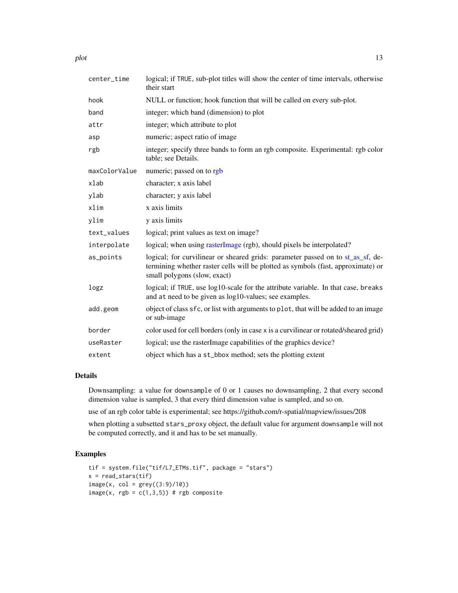<span id="page-12-0"></span>

| center_time   | logical; if TRUE, sub-plot titles will show the center of time intervals, otherwise<br>their start                                                                                                  |
|---------------|-----------------------------------------------------------------------------------------------------------------------------------------------------------------------------------------------------|
| hook          | NULL or function; hook function that will be called on every sub-plot.                                                                                                                              |
| band          | integer; which band (dimension) to plot                                                                                                                                                             |
| attr          | integer; which attribute to plot                                                                                                                                                                    |
| asp           | numeric; aspect ratio of image                                                                                                                                                                      |
| rgb           | integer; specify three bands to form an rgb composite. Experimental: rgb color<br>table; see Details.                                                                                               |
| maxColorValue | numeric; passed on to rgb                                                                                                                                                                           |
| xlab          | character; x axis label                                                                                                                                                                             |
| ylab          | character; y axis label                                                                                                                                                                             |
| xlim          | x axis limits                                                                                                                                                                                       |
| ylim          | y axis limits                                                                                                                                                                                       |
| text_values   | logical; print values as text on image?                                                                                                                                                             |
| interpolate   | logical; when using rasterImage (rgb), should pixels be interpolated?                                                                                                                               |
| as_points     | logical; for curvilinear or sheared grids: parameter passed on to st_as_sf, de-<br>termining whether raster cells will be plotted as symbols (fast, approximate) or<br>small polygons (slow, exact) |
| logz          | logical; if TRUE, use log10-scale for the attribute variable. In that case, breaks<br>and at need to be given as log10-values; see examples.                                                        |
| add.geom      | object of class sfc, or list with arguments to plot, that will be added to an image<br>or sub-image                                                                                                 |
| border        | color used for cell borders (only in case x is a curvilinear or rotated/sheared grid)                                                                                                               |
| useRaster     | logical; use the raster Image capabilities of the graphics device?                                                                                                                                  |
| extent        | object which has a st_bbox method; sets the plotting extent                                                                                                                                         |

#### Details

Downsampling: a value for downsample of 0 or 1 causes no downsampling, 2 that every second dimension value is sampled, 3 that every third dimension value is sampled, and so on.

use of an rgb color table is experimental; see https://github.com/r-spatial/mapview/issues/208

when plotting a subsetted stars\_proxy object, the default value for argument downsample will not be computed correctly, and it and has to be set manually.

```
tif = system.file("tif/L7_ETMs.tif", package = "stars")
x = read\_stars(tif)image(x, col = grey((3:9)/10))image(x, rgb = c(1, 3, 5)) # rgb composite
```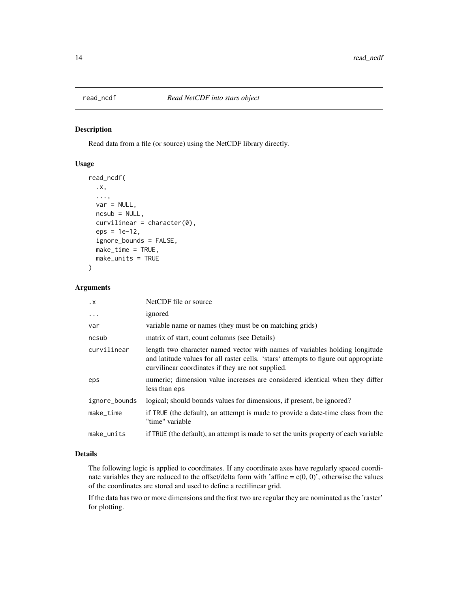<span id="page-13-0"></span>

Read data from a file (or source) using the NetCDF library directly.

#### Usage

```
read_ncdf(
  .x,
  ...,
 var = NULL,ncsub = NULL,curvilinear = character(0),
 eps = 1e-12,
  ignore_bounds = FALSE,
 make_time = TRUE,
 make_units = TRUE
\mathcal{L}
```
#### Arguments

| $\cdot$ X     | NetCDF file or source                                                                                                                                                                                                    |
|---------------|--------------------------------------------------------------------------------------------------------------------------------------------------------------------------------------------------------------------------|
| $\ddots$      | ignored                                                                                                                                                                                                                  |
| var           | variable name or names (they must be on matching grids)                                                                                                                                                                  |
| ncsub         | matrix of start, count columns (see Details)                                                                                                                                                                             |
| curvilinear   | length two character named vector with names of variables holding longitude<br>and latitude values for all raster cells. 'stars' attempts to figure out appropriate<br>curvilinear coordinates if they are not supplied. |
| eps           | numeric; dimension value increases are considered identical when they differ<br>less than eps                                                                                                                            |
| ignore_bounds | logical; should bounds values for dimensions, if present, be ignored?                                                                                                                                                    |
| make_time     | if TRUE (the default), an attempt is made to provide a date-time class from the<br>"time" variable                                                                                                                       |
| make_units    | if TRUE (the default), an attempt is made to set the units property of each variable                                                                                                                                     |

#### Details

The following logic is applied to coordinates. If any coordinate axes have regularly spaced coordinate variables they are reduced to the offset/delta form with 'affine =  $c(0, 0)$ ', otherwise the values of the coordinates are stored and used to define a rectilinear grid.

If the data has two or more dimensions and the first two are regular they are nominated as the 'raster' for plotting.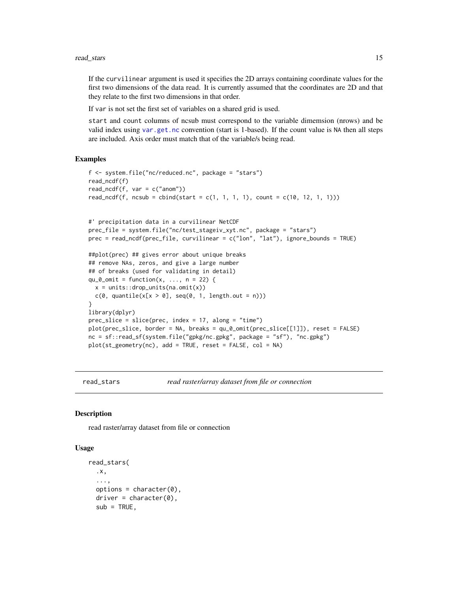<span id="page-14-0"></span>If the curvilinear argument is used it specifies the 2D arrays containing coordinate values for the first two dimensions of the data read. It is currently assumed that the coordinates are 2D and that they relate to the first two dimensions in that order.

If var is not set the first set of variables on a shared grid is used.

start and count columns of ncsub must correspond to the variable dimemsion (nrows) and be valid index using [var.get.nc](#page-0-0) convention (start is 1-based). If the count value is NA then all steps are included. Axis order must match that of the variable/s being read.

#### Examples

```
f <- system.file("nc/reduced.nc", package = "stars")
read_ncdf(f)
read_ncdf(f, var = c("anom"))
read_ncdf(f, ncsub = cbind(start = c(1, 1, 1, 1), count = c(10, 12, 1, 1)))
#' precipitation data in a curvilinear NetCDF
prec_file = system.file("nc/test_stageiv_xyt.nc", package = "stars")
prec = read_ncdf(prec_file, curvilinear = c("lon", "lat"), ignore_bounds = TRUE)
##plot(prec) ## gives error about unique breaks
## remove NAs, zeros, and give a large number
## of breaks (used for validating in detail)
qu_0_omit = function(x, ..., n = 22) {
 x = units::drop\_units(na.omit(x))c(0, quantile(x[x > 0], seq(0, 1, length.out = n)))
}
library(dplyr)
prec\_slice = slice(prec, index = 17, along = "time")plot(prec_slice, border = NA, breaks = qu_0_omit(prec_slice[[1]]), reset = FALSE)
nc = sf::read_sf(system.file("gpkg/nc.gpkg", package = "sf"), "nc.gpkg")
plot(st_geometry(nc), add = TRUE, reset = FALSE, col = NA)
```
read\_stars *read raster/array dataset from file or connection*

#### Description

read raster/array dataset from file or connection

```
read_stars(
  .x,
  ...,
 options = character(0),
  driver = character(0),
 sub = TRUE,
```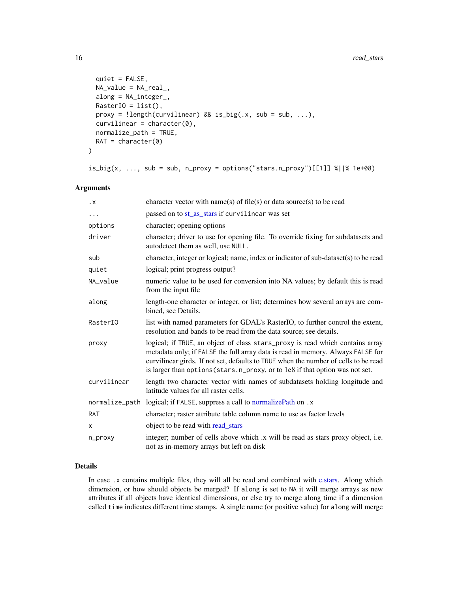```
quiet = FALSE,
 NA_value = NA_real_,
 along = NA_integer_,
 RasterI0 = list(),proxy = !length(curvilinear) && is\_big(.x, sub = sub, ...),
 curvilinear = character(0),
 normalize_path = TRUE,
 RAT = character(0))
```

```
is\_big(x, ..., sub = sub, n\_proxy = options("stars.n\_proxy")[[1]] %||% 1e+08)
```
#### Arguments

| $\cdot$ X   | character vector with name(s) of file(s) or data source(s) to be read                                                                                                                                                                                                                                                                   |
|-------------|-----------------------------------------------------------------------------------------------------------------------------------------------------------------------------------------------------------------------------------------------------------------------------------------------------------------------------------------|
| $\cdots$    | passed on to st_as_stars if curvilinear was set                                                                                                                                                                                                                                                                                         |
| options     | character; opening options                                                                                                                                                                                                                                                                                                              |
| driver      | character; driver to use for opening file. To override fixing for subdatasets and<br>autodetect them as well, use NULL.                                                                                                                                                                                                                 |
| sub         | character, integer or logical; name, index or indicator of sub-dataset(s) to be read                                                                                                                                                                                                                                                    |
| quiet       | logical; print progress output?                                                                                                                                                                                                                                                                                                         |
| NA_value    | numeric value to be used for conversion into NA values; by default this is read<br>from the input file                                                                                                                                                                                                                                  |
| along       | length-one character or integer, or list; determines how several arrays are com-<br>bined, see Details.                                                                                                                                                                                                                                 |
| RasterI0    | list with named parameters for GDAL's RasterIO, to further control the extent,<br>resolution and bands to be read from the data source; see details.                                                                                                                                                                                    |
| proxy       | logical; if TRUE, an object of class stars_proxy is read which contains array<br>metadata only; if FALSE the full array data is read in memory. Always FALSE for<br>curvilinear girds. If not set, defaults to TRUE when the number of cells to be read<br>is larger than options (stars.n_proxy, or to 1e8 if that option was not set. |
| curvilinear | length two character vector with names of subdatasets holding longitude and<br>latitude values for all raster cells.                                                                                                                                                                                                                    |
|             | normalize_path logical; if FALSE, suppress a call to normalizePath on .x                                                                                                                                                                                                                                                                |
| RAT         | character; raster attribute table column name to use as factor levels                                                                                                                                                                                                                                                                   |
| x           | object to be read with read_stars                                                                                                                                                                                                                                                                                                       |
| n_proxy     | integer; number of cells above which x will be read as stars proxy object, i.e.<br>not as in-memory arrays but left on disk                                                                                                                                                                                                             |

## Details

In case .x contains multiple files, they will all be read and combined with [c.stars.](#page-4-1) Along which dimension, or how should objects be merged? If along is set to NA it will merge arrays as new attributes if all objects have identical dimensions, or else try to merge along time if a dimension called time indicates different time stamps. A single name (or positive value) for along will merge

<span id="page-15-0"></span>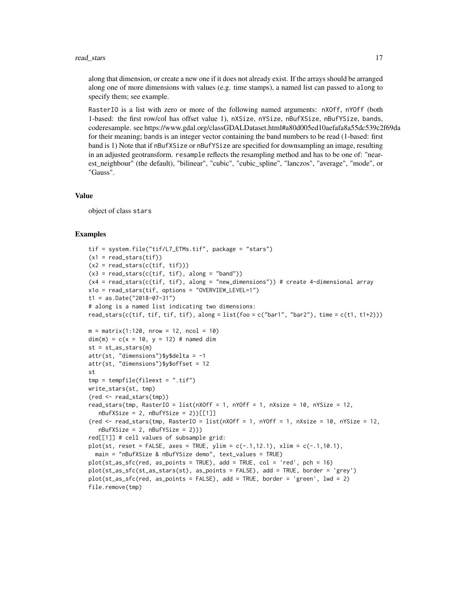#### read\_stars 17

along that dimension, or create a new one if it does not already exist. If the arrays should be arranged along one of more dimensions with values (e.g. time stamps), a named list can passed to along to specify them; see example.

RasterIO is a list with zero or more of the following named arguments: nXOff, nYOff (both 1-based: the first row/col has offset value 1), nXSize, nYSize, nBufXSize, nBufYSize, bands, coderesample. see https://www.gdal.org/classGDALDataset.html#a80d005ed10aefafa8a55dc539c2f69da for their meaning; bands is an integer vector containing the band numbers to be read (1-based: first band is 1) Note that if nBufXSize or nBufYSize are specified for downsampling an image, resulting in an adjusted geotransform. resample reflects the resampling method and has to be one of: "nearest\_neighbour" (the default), "bilinear", "cubic", "cubic\_spline", "lanczos", "average", "mode", or "Gauss".

#### Value

object of class stars

```
tif = system.file("tif/L7_ETMs.tif", package = "stars")
(x1 = read\_stars(tif))(x2 = read\_stars(c(itf, tf)))(x3 = read\_stars(c(tif, tif), along = "band"))(x4 = read\_stars(c(tif, tif), along = "new\_dimensions")) # create 4-dimensional arrayx1o = read_stars(tif, options = "OVERVIEW_LEVEL=1")
t1 = as.Date("2018-07-31")
# along is a named list indicating two dimensions:
read_stars(c(tif, tif, tif, tif), along = list(foo = c("bar1", "bar2"), time = c(t1, t1+2)))
m = matrix(1:120, nrow = 12, ncol = 10)dim(m) = c(x = 10, y = 12) # named dim
st = st_as\_stars(m)attr(st, "dimensions")$y$delta = -1
attr(st, "dimensions")$y$offset = 12
st
tmp = tempfile(fileext = ".tif")
write_stars(st, tmp)
(red <- read_stars(tmp))
read_stars(tmp, RasterIO = list(nXOff = 1, nYOff = 1, nXsize = 10, nYSize = 12,
   nBufXSize = 2, nBufYSize = 2) [[1]]
(red \le read_stars(tmp, RasterIO = list(nXOff = 1, nYOff = 1, nXsize = 10, nYSize = 12,
   nBufXSize = 2, nBufYSize = 2)))
red[[1]] # cell values of subsample grid:
plot(st, reset = FALSE, axes = TRUE, ylim = c(-.1, 12.1), xlim = c(-.1, 10.1),main = "nBufXSize & nBufYSize demo", text_values = TRUE)
plot(st_as_sfc(red, as_points = TRUE), add = TRUE, col = 'red', pch = 16)
plot(st_as_sfc(st_as_stars(st), as_points = FALSE), add = TRUE, border = 'grey')
plot(st_as_sfc(red, as_points = FALSE), add = TRUE, border = 'green', lwd = 2)
file.remove(tmp)
```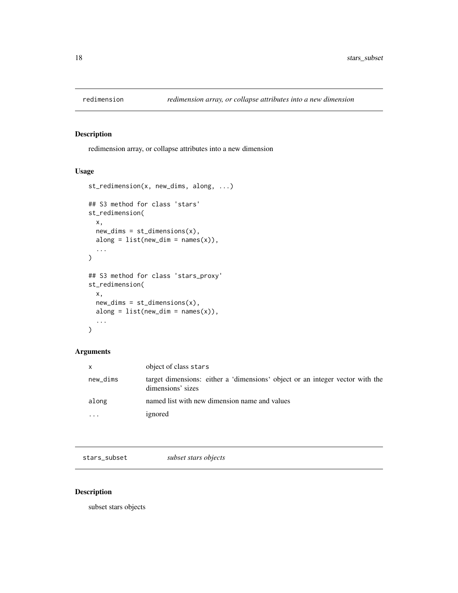<span id="page-17-0"></span>

redimension array, or collapse attributes into a new dimension

## Usage

```
st_redimension(x, new_dims, along, ...)
## S3 method for class 'stars'
st_redimension(
 x,
 new\_dims = st\_dimensions(x),
 along = list(new\_dim = names(x)),...
)
## S3 method for class 'stars_proxy'
st_redimension(
 x,
 new\_dims = st\_dimensions(x),
 along = list(new\_dim = names(x)),...
)
```
## Arguments

| object of class stars                                                                              |
|----------------------------------------------------------------------------------------------------|
| target dimensions: either a 'dimensions' object or an integer vector with the<br>dimensions' sizes |
| named list with new dimension name and values                                                      |
| ignored                                                                                            |
|                                                                                                    |

stars\_subset *subset stars objects*

## <span id="page-17-1"></span>Description

subset stars objects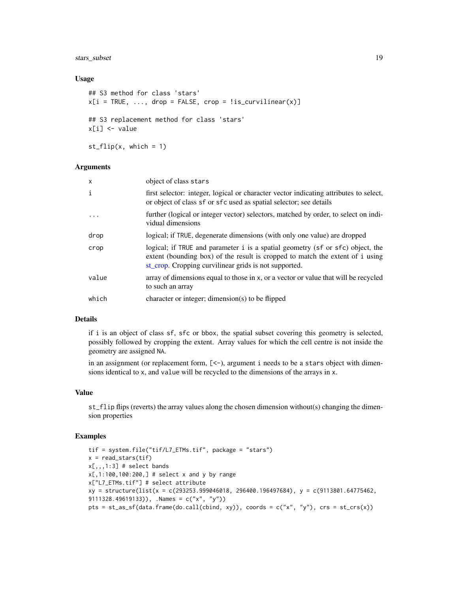## <span id="page-18-0"></span>stars\_subset 19

#### Usage

```
## S3 method for class 'stars'
x[i = TRUE, ..., drop = FALSE, crop = !is_curvilinear(x)]## S3 replacement method for class 'stars'
x[i] <- value
st_flip(x, which = 1)
```
#### Arguments

| $\mathsf{x}$ | object of class stars                                                                                                                                                                                                    |
|--------------|--------------------------------------------------------------------------------------------------------------------------------------------------------------------------------------------------------------------------|
| i            | first selector: integer, logical or character vector indicating attributes to select,<br>or object of class sf or sfc used as spatial selector; see details                                                              |
| $\cdot$      | further (logical or integer vector) selectors, matched by order, to select on indi-<br>vidual dimensions                                                                                                                 |
| drop         | logical; if TRUE, degenerate dimensions (with only one value) are dropped                                                                                                                                                |
| crop         | logical; if TRUE and parameter i is a spatial geometry (sf or sfc) object, the<br>extent (bounding box) of the result is cropped to match the extent of i using<br>st_crop. Cropping curvilinear grids is not supported. |
| value        | array of dimensions equal to those in x, or a vector or value that will be recycled<br>to such an array                                                                                                                  |
| which        | character or integer; dimension(s) to be flipped                                                                                                                                                                         |

## **Details**

if i is an object of class sf, sfc or bbox, the spatial subset covering this geometry is selected, possibly followed by cropping the extent. Array values for which the cell centre is not inside the geometry are assigned NA.

in an assignment (or replacement form,  $\leq$ -), argument i needs to be a stars object with dimensions identical to x, and value will be recycled to the dimensions of the arrays in x.

## Value

st\_flip flips (reverts) the array values along the chosen dimension without(s) changing the dimension properties

```
tif = system.file("tif/L7_ETMs.tif", package = "stars")
x = read\_stars(tif)x[,,,1:3] # select bands
x[,1:100,100:200,] # select x and y by range
x["L7_ETMs.tif"] # select attribute
xy = structure(list(x = c(293253.999046018, 296400.196497684), y = c(9113801.64775462,
9111328.49619133)), .Names = c("x", "y"))
pts = st\_as\_sf(data frame(do.call(cbind, xy)), coords = c("x", "y"), crs = st\_crs(x))
```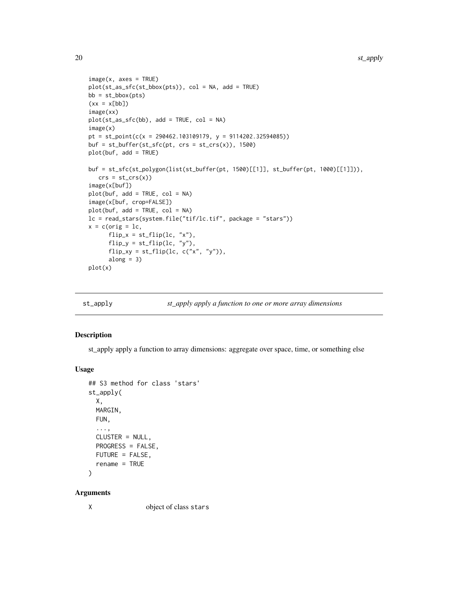```
image(x, axes = TRUE)plot(st_as_sfc(st_bbox(pts)), col = NA, add = TRUE)
bb = st_bbox(pts)(xx = x[bb])image(xx)
plot(st_as_sfc(bb), add = TRUE, col = NA)
image(x)
pt = st_point(c(x = 290462.103109179, y = 9114202.32594085))
buf = st_buffer(st_sfc(pt, crs = st_ccrs(x)), 1500)plot(buf, add = TRUE)
buf = st_sfc(st_polygon(list(st_buffer(pt, 1500)[[1]], st_buffer(pt, 1000)[[1]])),
  crs = st_ccrs(x))image(x[buf])
plot(buf, add = TRUE, col = NA)
image(x[buf, crop=FALSE])
plot(buf, add = TRUE, col = NA)
lc = read_stars(system.file("tif/lc.tif", package = "stars"))
x = c (orig = 1c,
      flip_x = st_flip(lc, "x"),flip_y = st_flip(lc, "y"),
      flip_xy = st_flip(lc, c("x", "y")),
      along = 3)
plot(x)
```
<span id="page-19-1"></span>

st\_apply *st\_apply apply a function to one or more array dimensions*

#### Description

st\_apply apply a function to array dimensions: aggregate over space, time, or something else

#### Usage

```
## S3 method for class 'stars'
st_apply(
 X,
 MARGIN,
 FUN,
  ...,
 CLUSTER = NULL,
 PROGRESS = FALSE,
 FUTURE = FALSE,
 rename = TRUE
\lambda
```
#### Arguments

X object of class stars

<span id="page-19-0"></span>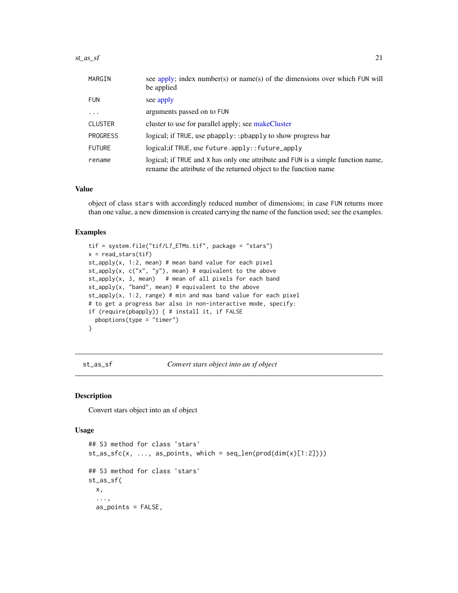<span id="page-20-0"></span>

| MARGIN                  | see apply; index number(s) or name(s) of the dimensions over which FUN will<br>be applied                                                            |
|-------------------------|------------------------------------------------------------------------------------------------------------------------------------------------------|
| <b>FUN</b>              | see apply                                                                                                                                            |
| $\cdot$ $\cdot$ $\cdot$ | arguments passed on to FUN                                                                                                                           |
| <b>CLUSTER</b>          | cluster to use for parallel apply; see makeCluster                                                                                                   |
| <b>PROGRESS</b>         | logical; if TRUE, use pbapply:: pbapply to show progress bar                                                                                         |
| <b>FUTURE</b>           | logical; if TRUE, use future. apply:: future_apply                                                                                                   |
| rename                  | logical; if TRUE and X has only one attribute and FUN is a simple function name,<br>rename the attribute of the returned object to the function name |

## Value

object of class stars with accordingly reduced number of dimensions; in case FUN returns more than one value, a new dimension is created carrying the name of the function used; see the examples.

#### Examples

```
tif = system.file("tif/L7_ETMs.tif", package = "stars")
x = read\_stars(tif)st\_apply(x, 1:2, mean) # mean band value for each pixel
st\_apply(x, c("x", "y"), mean) # equivalent to the abovest\_apply(x, 3, mean) # mean of all pixels for each band
st_apply(x, "band", mean) # equivalent to the above
st\_apply(x, 1:2, range) # min and max band value for each pixel
# to get a progress bar also in non-interactive mode, specify:
if (require(pbapply)) { # install it, if FALSE
  pboptions(type = "timer")
}
```
<span id="page-20-1"></span>st\_as\_sf *Convert stars object into an sf object*

## Description

Convert stars object into an sf object

```
## S3 method for class 'stars'
st_as_sfc(x, ..., as\_points, which = seq\_len(pred(dim(x)[1:2]))## S3 method for class 'stars'
st_as_sf(
 x,
  ...,
 as_points = FALSE,
```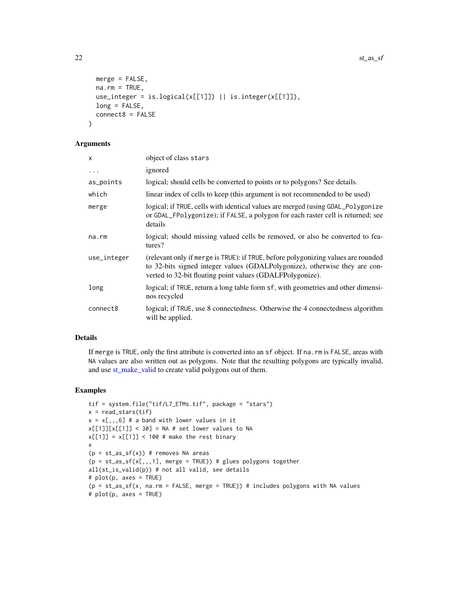```
merge = FALSE,
 na.rm = TRUE,use_integer = is.logical(x[[1]]) || is.integer(x[[1]]),
 long = FALSE,
 connect8 = FALSE)
```
#### **Arguments**

| X           | object of class stars                                                                                                                                                                                                        |  |
|-------------|------------------------------------------------------------------------------------------------------------------------------------------------------------------------------------------------------------------------------|--|
| $\cdots$    | ignored                                                                                                                                                                                                                      |  |
| as_points   | logical; should cells be converted to points or to polygons? See details.                                                                                                                                                    |  |
| which       | linear index of cells to keep (this argument is not recommended to be used)                                                                                                                                                  |  |
| merge       | logical; if TRUE, cells with identical values are merged (using GDAL_Polygonize<br>or GDAL_FPolygonize); if FALSE, a polygon for each raster cell is returned; see<br>details                                                |  |
| na.rm       | logical; should missing valued cells be removed, or also be converted to fea-<br>tures?                                                                                                                                      |  |
| use_integer | (relevant only if merge is TRUE): if TRUE, before polygonizing values are rounded<br>to 32-bits signed integer values (GDALPolygonize), otherwise they are con-<br>verted to 32-bit floating point values (GDALFPolygonize). |  |
| long        | logical; if TRUE, return a long table form sf, with geometries and other dimensi-<br>nos recycled                                                                                                                            |  |
| connect8    | logical; if TRUE, use 8 connectedness. Otherwise the 4 connectedness algorithm<br>will be applied.                                                                                                                           |  |

## Details

If merge is TRUE, only the first attribute is converted into an sf object. If na.rm is FALSE, areas with NA values are also written out as polygons. Note that the resulting polygons are typically invalid, and use [st\\_make\\_valid](#page-0-0) to create valid polygons out of them.

```
tif = system.file("tif/L7_ETMs.tif", package = "stars")
x = read\_stars(tif)x = x[,, ., 6] # a band with lower values in it
x[[1]][x[[1]] < 30] = NA # set lower values to NA
x[[1]] = x[[1]] < 100 # make the rest binary
x
(p = st_as_s f(x)) # removes NA areas
(p = st_as_s f(x[,,,,1], merge = TRUE)) # glues polygons together
all(st_is_valid(p)) # not all valid, see details
# plot(p, axes = TRUE)
(p = st_as_s f(x, na.rm = FALSE, merge = TRUE)) # includes polygons with NA values
# plot(p, axes = TRUE)
```
<span id="page-21-0"></span>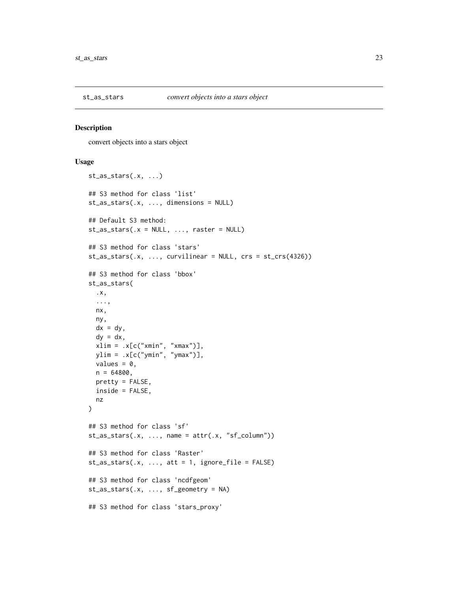<span id="page-22-1"></span><span id="page-22-0"></span>

convert objects into a stars object

```
st_as_stars(.x, ...)
## S3 method for class 'list'
st_as_stars(.x, ..., dimensions = NULL)
## Default S3 method:
st\_as\_stars(.x = NULL, ..., raster = NULL)## S3 method for class 'stars'
st\_as\_stars(.x, ..., curvilinear = NULL, crs = st\_crs(4326))## S3 method for class 'bbox'
st_as_stars(
  .x,
  ...,
 nx,
  ny,
  dx = dy,
 dy = dx,
  xlim = .x[c("xmin", "xmax")],
 ylim = .x[c("ymin", "ymax")],values = 0,
 n = 64800,pretty = FALSE,
  inside = FALSE,
 nz
)
## S3 method for class 'sf'
st\_as\_stars(.x, ..., name = attr(.x, "sf\_column"))## S3 method for class 'Raster'
st\_as\_stars(.x, ..., att = 1, ignore_file = FALSE)## S3 method for class 'ncdfgeom'
st_as_stars(.x, ..., sf_geometry = NA)
## S3 method for class 'stars_proxy'
```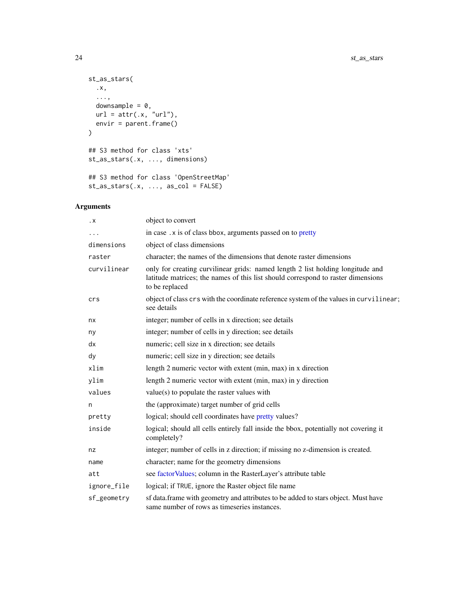```
st_as_stars(
  .x,
  ...,
  downsample = 0,url = attr(.x, "url"),envir = parent.frame()
\mathcal{L}## S3 method for class 'xts'
st_as_stars(.x, ..., dimensions)
## S3 method for class 'OpenStreetMap'
st_as\_stars(x, ..., as\_col = FALSE)
```

| $\cdot$ X   | object to convert                                                                                                                                                                    |
|-------------|--------------------------------------------------------------------------------------------------------------------------------------------------------------------------------------|
| .           | in case . x is of class bbox, arguments passed on to pretty                                                                                                                          |
| dimensions  | object of class dimensions                                                                                                                                                           |
| raster      | character; the names of the dimensions that denote raster dimensions                                                                                                                 |
| curvilinear | only for creating curvilinear grids: named length 2 list holding longitude and<br>latitude matrices; the names of this list should correspond to raster dimensions<br>to be replaced |
| crs         | object of class crs with the coordinate reference system of the values in curvilinear;<br>see details                                                                                |
| nx          | integer; number of cells in x direction; see details                                                                                                                                 |
| ny          | integer; number of cells in y direction; see details                                                                                                                                 |
| dx          | numeric; cell size in x direction; see details                                                                                                                                       |
| dy          | numeric; cell size in y direction; see details                                                                                                                                       |
| xlim        | length 2 numeric vector with extent (min, max) in x direction                                                                                                                        |
| ylim        | length 2 numeric vector with extent (min, max) in y direction                                                                                                                        |
| values      | $value(s)$ to populate the raster values with                                                                                                                                        |
| n           | the (approximate) target number of grid cells                                                                                                                                        |
| pretty      | logical; should cell coordinates have pretty values?                                                                                                                                 |
| inside      | logical; should all cells entirely fall inside the bbox, potentially not covering it<br>completely?                                                                                  |
| nz.         | integer; number of cells in z direction; if missing no z-dimension is created.                                                                                                       |
| name        | character; name for the geometry dimensions                                                                                                                                          |
| att         | see factor Values; column in the RasterLayer's attribute table                                                                                                                       |
| ignore_file | logical; if TRUE, ignore the Raster object file name                                                                                                                                 |
| sf_geometry | sf data.frame with geometry and attributes to be added to stars object. Must have<br>same number of rows as timeseries instances.                                                    |

<span id="page-23-0"></span>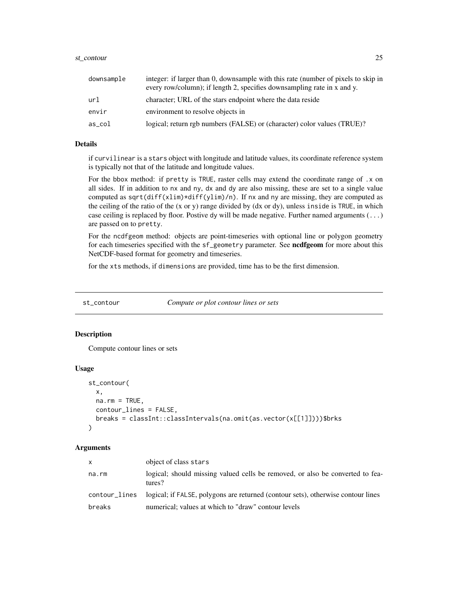#### <span id="page-24-0"></span>st\_contour 25

| downsample | integer: if larger than 0, downsample with this rate (number of pixels to skip in<br>every row/column); if length 2, specifies downsampling rate in x and y. |
|------------|--------------------------------------------------------------------------------------------------------------------------------------------------------------|
| url        | character; URL of the stars endpoint where the data reside                                                                                                   |
| envir      | environment to resolve objects in                                                                                                                            |
| as col     | logical; return rgb numbers (FALSE) or (character) color values (TRUE)?                                                                                      |

#### Details

if curvilinear is a stars object with longitude and latitude values, its coordinate reference system is typically not that of the latitude and longitude values.

For the bbox method: if pretty is TRUE, raster cells may extend the coordinate range of .x on all sides. If in addition to nx and ny, dx and dy are also missing, these are set to a single value computed as  $sqrt(\text{diff}(x\text{lim})\text{adj}f(y\text{lim})/n)$ . If nx and ny are missing, they are computed as the ceiling of the ratio of the (x or y) range divided by (dx or dy), unless inside is TRUE, in which case ceiling is replaced by floor. Postive dy will be made negative. Further named arguments (...) are passed on to pretty.

For the ncdfgeom method: objects are point-timeseries with optional line or polygon geometry for each timeseries specified with the sf\_geometry parameter. See ncdfgeom for more about this NetCDF-based format for geometry and timeseries.

for the xts methods, if dimensions are provided, time has to be the first dimension.

<span id="page-24-1"></span>st\_contour *Compute or plot contour lines or sets*

#### Description

Compute contour lines or sets

#### Usage

```
st_contour(
 x,
 na.rm = TRUE,contour_lines = FALSE,
 breaks = classInt::classIntervals(na.omit(as.vector(x[[1]])))$brks
)
```

| X             | object of class stars                                                                   |
|---------------|-----------------------------------------------------------------------------------------|
| na.rm         | logical; should missing valued cells be removed, or also be converted to fea-<br>tures? |
| contour_lines | logical; if FALSE, polygons are returned (contour sets), otherwise contour lines        |
| breaks        | numerical; values at which to "draw" contour levels                                     |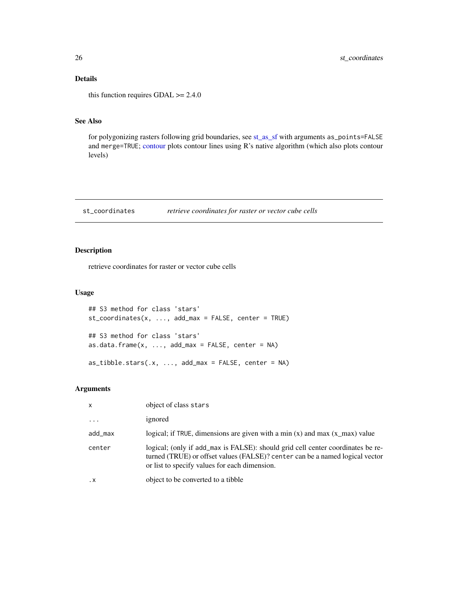## Details

this function requires  $GDAL \ge 2.4.0$ 

## See Also

for polygonizing rasters following grid boundaries, see [st\\_as\\_sf](#page-20-1) with arguments as\_points=FALSE and merge=TRUE; [contour](#page-0-0) plots contour lines using R's native algorithm (which also plots contour levels)

#### st\_coordinates *retrieve coordinates for raster or vector cube cells*

## <span id="page-25-1"></span>Description

retrieve coordinates for raster or vector cube cells

## Usage

```
## S3 method for class 'stars'
st\_coordinates(x, ..., add\_max = FALSE, center = TRUE)## S3 method for class 'stars'
as.data.frame(x, ..., add_max = FALSE, center = NA)
as\_tibble.stars(.x, ..., add\_max = FALSE, center = NA)
```

| $\mathsf{x}$ | object of class stars                                                                                                                                                                                            |
|--------------|------------------------------------------------------------------------------------------------------------------------------------------------------------------------------------------------------------------|
| $\ddots$     | ignored                                                                                                                                                                                                          |
| add_max      | logical; if TRUE, dimensions are given with a min $(x)$ and max $(x_{max})$ value                                                                                                                                |
| center       | logical; (only if add_max is FALSE): should grid cell center coordinates be re-<br>turned (TRUE) or offset values (FALSE)? center can be a named logical vector<br>or list to specify values for each dimension. |
| $\cdot$ X    | object to be converted to a tibble                                                                                                                                                                               |

<span id="page-25-0"></span>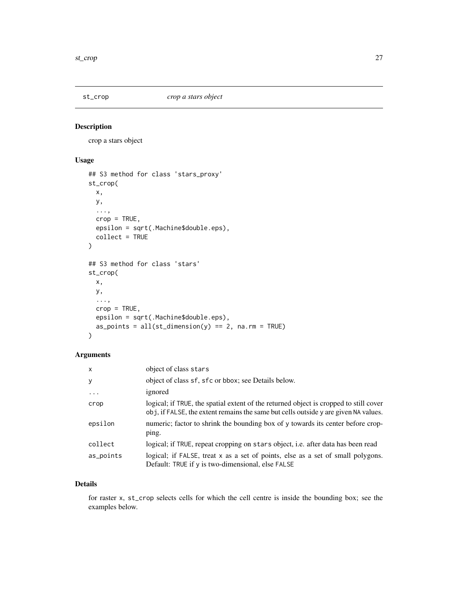<span id="page-26-1"></span><span id="page-26-0"></span>

crop a stars object

## Usage

```
## S3 method for class 'stars_proxy'
st_crop(
 x,
 y,
  ...,
 crop = TRUE,epsilon = sqrt(.Machine$double.eps),
  collect = TRUE
)
## S3 method for class 'stars'
st_crop(
 x,
 y,
  ...,
 crop = TRUE,epsilon = sqrt(.Machine$double.eps),
 as_points = all(st\_dimension(y) == 2, na.rm = TRUE)\mathcal{L}
```
## Arguments

| $\mathsf{x}$ | object of class stars                                                                                                                                                        |
|--------------|------------------------------------------------------------------------------------------------------------------------------------------------------------------------------|
| y            | object of class sf, sfc or bbox; see Details below.                                                                                                                          |
| .            | ignored                                                                                                                                                                      |
| crop         | logical; if TRUE, the spatial extent of the returned object is cropped to still cover<br>obj, if FALSE, the extent remains the same but cells outside y are given NA values. |
| epsilon      | numeric; factor to shrink the bounding box of y towards its center before crop-<br>ping.                                                                                     |
| collect      | logical; if TRUE, repeat cropping on stars object, i.e. after data has been read                                                                                             |
| as_points    | logical; if FALSE, treat x as a set of points, else as a set of small polygons.<br>Default: TRUE if y is two-dimensional, else FALSE                                         |

## Details

for raster x, st\_crop selects cells for which the cell centre is inside the bounding box; see the examples below.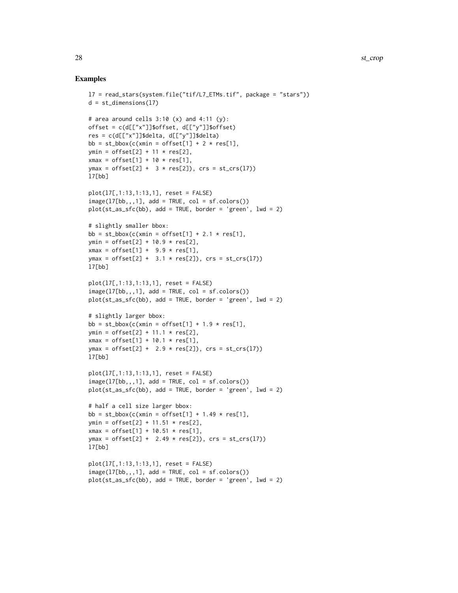```
l7 = read_stars(system.file("tif/L7_ETMs.tif", package = "stars"))
d = st\_dimensions(17)# area around cells 3:10 (x) and 4:11 (y):
offset = c(d[["x"]]$offset, d[["y"]]$offset)
res = c(d[["x"]]$delta, d[["y"]]$delta)
bb = st_bbox(c(xmin = offset[1] + 2 * res[1],
ymin = \text{offset}[2] + 11 * \text{res}[2],xmax = offset[1] + 10 * res[1],
ymax = offset[2] + 3 * res[2]), crs = st_ccrs(17))
l7[bb]
plot(l7[,1:13,1:13,1], reset = FALSE)
image(17[bb, 1], add = TRUE, col = sf.close())plot(st_as_sfc(bb), add = TRUE, border = 'green', lwd = 2)
# slightly smaller bbox:
bb = st_bbox(c(xmin = offset[1] + 2.1 * res[1],
ymin = \text{offset}[2] + 10.9 * \text{res}[2],xmax = offset[1] + 9.9 * res[1],
ymax = offset[2] + 3.1 * res[2]), crs = st_crs(17)l7[bb]
plot(l7[,1:13,1:13,1], reset = FALSE)
image(17[bb, 1], add = TRUE, col = sf.close())plot(st_as_sfc(bb), add = TRUE, border = 'green', lwd = 2)# slightly larger bbox:
bb = st_bbox(c(xmin = offset[1] + 1.9 \star res[1],
ymin = offset[2] + 11.1 * res[2],xmax = offset[1] + 10.1 * res[1],
ymax = \text{offset}[2] + 2.9 * \text{res}[2]), crs = st_crs(17))l7[bb]
plot(l7[,1:13,1:13,1], reset = FALSE)
image(17[bb, ., 1], add = TRUE, col = sfs(11(bb, ., 1))plot(st_as_sfc(bb), add = TRUE, border = 'green', lwd = 2)# half a cell size larger bbox:
bb = st_bbox(c(xmin = offset[1] + 1.49 \star res[1],
ymin = \text{offset}[2] + 11.51 * \text{res}[2],xmax = offset[1] + 10.51 * res[1],
ymax = \text{offset}[2] + 2.49 * \text{res}[2]), crs = st_crs(17))l7[bb]
plot(l7[,1:13,1:13,1], reset = FALSE)
image(17[bb, 1], add = TRUE, col = sf.close())plot(st_as_sfc(bb), add = TRUE, border = 'green', lwd = 2)
```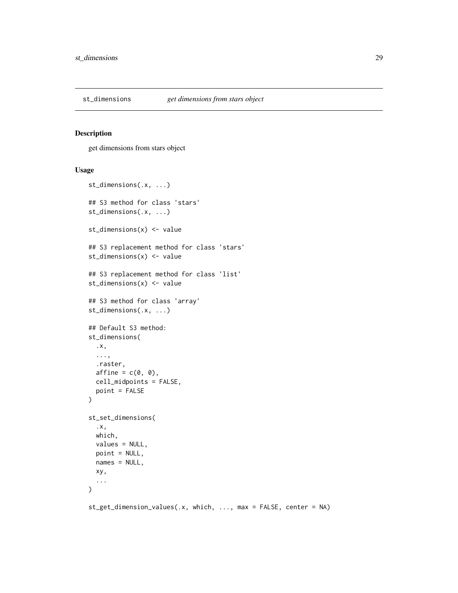<span id="page-28-0"></span>

get dimensions from stars object

```
st_dimensions(.x, ...)
## S3 method for class 'stars'
st_dimensions(.x, ...)
st_dimensions(x) <- value
## S3 replacement method for class 'stars'
st_dimensions(x) <- value
## S3 replacement method for class 'list'
st_dimensions(x) <- value
## S3 method for class 'array'
st_dimensions(.x, ...)
## Default S3 method:
st_dimensions(
  .x,
  ...,
  .raster,
 affine = c(0, 0),cell_midpoints = FALSE,
 point = FALSE
\mathcal{E}st_set_dimensions(
  .x,
 which,
  values = NULL,
 point = NULL,
 names = NULL,
 xy,
  ...
\mathcal{L}st_get_dimension_values(.x, which, ..., max = FALSE, center = NA)
```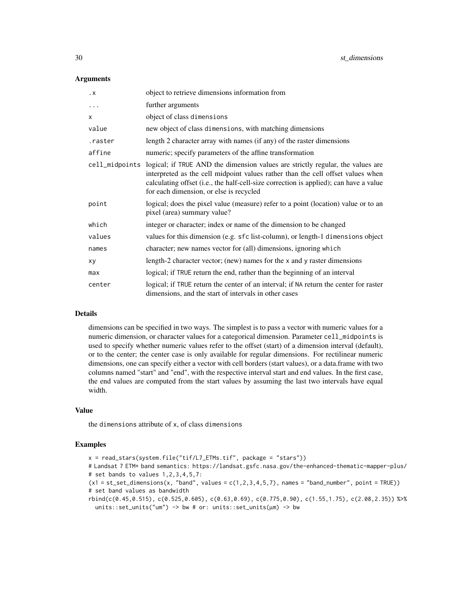### **Arguments**

| $\cdot$ X      | object to retrieve dimensions information from                                                                                                                                                                                                                                                        |
|----------------|-------------------------------------------------------------------------------------------------------------------------------------------------------------------------------------------------------------------------------------------------------------------------------------------------------|
| $\cdots$       | further arguments                                                                                                                                                                                                                                                                                     |
| X              | object of class dimensions                                                                                                                                                                                                                                                                            |
| value          | new object of class dimensions, with matching dimensions                                                                                                                                                                                                                                              |
| .raster        | length 2 character array with names (if any) of the raster dimensions                                                                                                                                                                                                                                 |
| affine         | numeric; specify parameters of the affine transformation                                                                                                                                                                                                                                              |
| cell_midpoints | logical; if TRUE AND the dimension values are strictly regular, the values are<br>interpreted as the cell midpoint values rather than the cell offset values when<br>calculating offset (i.e., the half-cell-size correction is applied); can have a value<br>for each dimension, or else is recycled |
| point          | logical; does the pixel value (measure) refer to a point (location) value or to an<br>pixel (area) summary value?                                                                                                                                                                                     |
| which          | integer or character; index or name of the dimension to be changed                                                                                                                                                                                                                                    |
| values         | values for this dimension (e.g. sfc list-column), or length-1 dimensions object                                                                                                                                                                                                                       |
| names          | character; new names vector for (all) dimensions, ignoring which                                                                                                                                                                                                                                      |
| xy             | length-2 character vector; (new) names for the $x$ and $y$ raster dimensions                                                                                                                                                                                                                          |
| max            | logical; if TRUE return the end, rather than the beginning of an interval                                                                                                                                                                                                                             |
| center         | logical; if TRUE return the center of an interval; if NA return the center for raster<br>dimensions, and the start of intervals in other cases                                                                                                                                                        |

#### Details

dimensions can be specified in two ways. The simplest is to pass a vector with numeric values for a numeric dimension, or character values for a categorical dimension. Parameter cell\_midpoints is used to specify whether numeric values refer to the offset (start) of a dimension interval (default), or to the center; the center case is only available for regular dimensions. For rectilinear numeric dimensions, one can specify either a vector with cell borders (start values), or a data.frame with two columns named "start" and "end", with the respective interval start and end values. In the first case, the end values are computed from the start values by assuming the last two intervals have equal width.

#### Value

the dimensions attribute of x, of class dimensions

## Examples

x = read\_stars(system.file("tif/L7\_ETMs.tif", package = "stars"))

# Landsat 7 ETM+ band semantics: https://landsat.gsfc.nasa.gov/the-enhanced-thematic-mapper-plus/ # set bands to values  $1, 2, 3, 4, 5, 7$ :

 $(x1 = st_set_dimensions(x, "band", values = c(1, 2, 3, 4, 5, 7), names = "band_number", point = TRUE)$ # set band values as bandwidth

rbind(c(0.45,0.515), c(0.525,0.605), c(0.63,0.69), c(0.775,0.90), c(1.55,1.75), c(2.08,2.35)) %>% units::set\_units("um")  $\rightarrow$  bw # or: units::set\_units( $\mu$ m)  $\rightarrow$  bw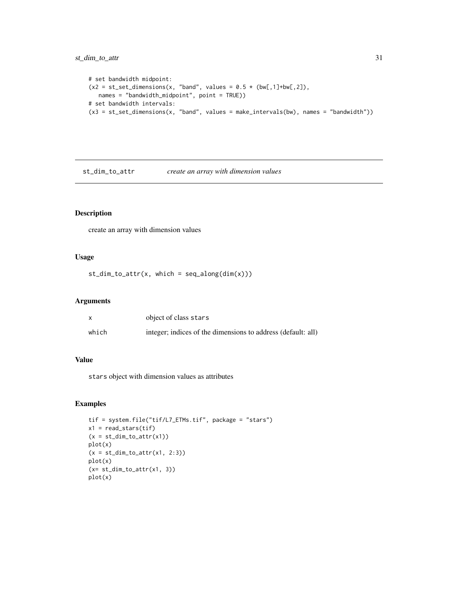```
# set bandwidth midpoint:
(x2 = st_set_dimensions(x, "band", values = 0.5 * (bw[,1]+bw[,2]),names = "bandwidth_midpoint", point = TRUE))
# set bandwidth intervals:
(x3 = st_set_dimensions(x, "band", values = make_interestals(bw), names = "bandwidth"))
```
st\_dim\_to\_attr *create an array with dimension values*

#### Description

create an array with dimension values

#### Usage

 $st\_dim\_to\_attr(x, which = seq\_along(dim(x)))$ 

## Arguments

|       | object of class stars                                        |
|-------|--------------------------------------------------------------|
| which | integer; indices of the dimensions to address (default: all) |

#### Value

stars object with dimension values as attributes

```
tif = system.file("tif/L7_ETMs.tif", package = "stars")
x1 = read\_stars(tif)(x = st\_dim\_to\_attr(x1))plot(x)
(x = st\_dim\_to\_attr(x1, 2:3))plot(x)
(x= st\_dim\_to\_attr(x1, 3))plot(x)
```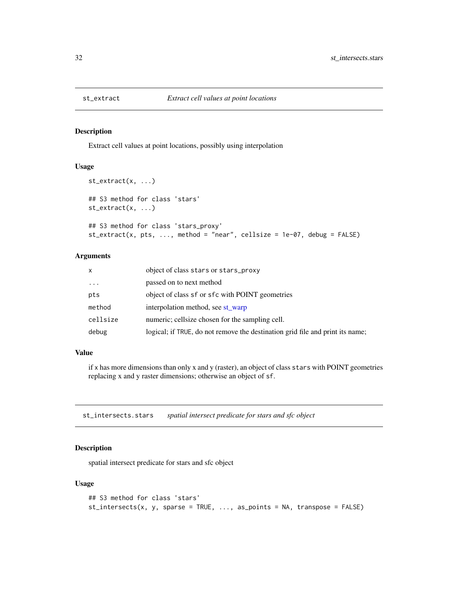<span id="page-31-0"></span>

Extract cell values at point locations, possibly using interpolation

## Usage

```
st_extract(x, ...)
## S3 method for class 'stars'
st_extract(x, ...)
## S3 method for class 'stars_proxy'
st\_extract(x, pts, ..., method = "near", cellsize = 1e-07, debug = FALSE)
```
## Arguments

| x        | object of class stars or stars_proxy                                          |
|----------|-------------------------------------------------------------------------------|
| $\cdots$ | passed on to next method                                                      |
| pts      | object of class sf or sfc with POINT geometries                               |
| method   | interpolation method, see st warp                                             |
| cellsize | numeric; cellsize chosen for the sampling cell.                               |
| debug    | logical; if TRUE, do not remove the destination grid file and print its name; |

## Value

if x has more dimensions than only x and y (raster), an object of class stars with POINT geometries replacing x and y raster dimensions; otherwise an object of sf.

<span id="page-31-1"></span>st\_intersects.stars *spatial intersect predicate for stars and sfc object*

## Description

spatial intersect predicate for stars and sfc object

```
## S3 method for class 'stars'
st_intersects(x, y, sparse = TRUE, ..., as_points = NA, transpose = FALSE)
```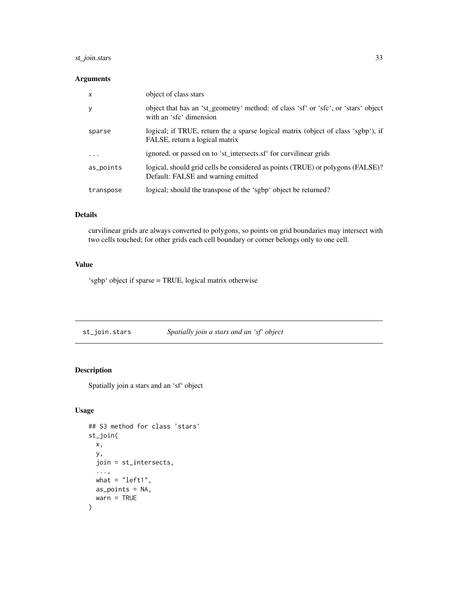## <span id="page-32-0"></span>st\_join.stars 33

## Arguments

| X         | object of class stars                                                                                                |
|-----------|----------------------------------------------------------------------------------------------------------------------|
| у         | object that has an 'st_geometry' method: of class 'sf' or 'sfc', or 'stars' object<br>with an 'sfc' dimension        |
| sparse    | logical; if TRUE, return the a sparse logical matrix (object of class 'sgbp'), if<br>FALSE, return a logical matrix  |
| $\cdots$  | ignored, or passed on to 'st_intersects.sf' for curvilinear grids                                                    |
| as_points | logical, should grid cells be considered as points (TRUE) or polygons (FALSE)?<br>Default: FALSE and warning emitted |
| transpose | logical; should the transpose of the 'sgbp' object be returned?                                                      |

## Details

curvilinear grids are always converted to polygons, so points on grid boundaries may intersect with two cells touched; for other grids each cell boundary or corner belongs only to one cell.

## Value

'sgbp' object if sparse = TRUE, logical matrix otherwise

st\_join.stars *Spatially join a stars and an 'sf' object*

## Description

Spatially join a stars and an 'sf' object

```
## S3 method for class 'stars'
st_join(
 x,
 y,
 join = st_intersects,
  ...,
 what = "left1as_points = NA,
 warn = TRUE
\mathcal{E}
```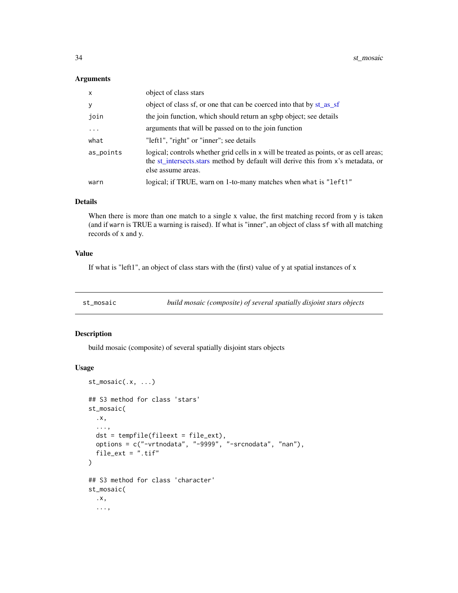34 st\_mosaic

#### Arguments

| $\mathsf{x}$ | object of class stars                                                                                                                                                                            |
|--------------|--------------------------------------------------------------------------------------------------------------------------------------------------------------------------------------------------|
| y            | object of class sf, or one that can be coerced into that by st as sf                                                                                                                             |
| join         | the join function, which should return an sgbp object; see details                                                                                                                               |
| $\ddots$ .   | arguments that will be passed on to the join function                                                                                                                                            |
| what         | "left1", "right" or "inner"; see details                                                                                                                                                         |
| as_points    | logical; controls whether grid cells in x will be treated as points, or as cell areas;<br>the st_intersects.stars method by default will derive this from x's metadata, or<br>else assume areas. |
| warn         | logical; if TRUE, warn on 1-to-many matches when what is "left1"                                                                                                                                 |

## Details

When there is more than one match to a single x value, the first matching record from y is taken (and if warn is TRUE a warning is raised). If what is "inner", an object of class sf with all matching records of x and y.

## Value

If what is "left1", an object of class stars with the (first) value of y at spatial instances of x

st\_mosaic *build mosaic (composite) of several spatially disjoint stars objects*

## Description

build mosaic (composite) of several spatially disjoint stars objects

```
st_mosaic(.x, ...)
## S3 method for class 'stars'
st_mosaic(
  .x,
  ...,
  dst = tempfile(fileext = file_ext),
  options = c("-vrtnodata", "-9999", "-srcnodata", "nan"),
  file_ext = ".tif"
\mathcal{L}## S3 method for class 'character'
st_mosaic(
  .x,
  ...,
```
<span id="page-33-0"></span>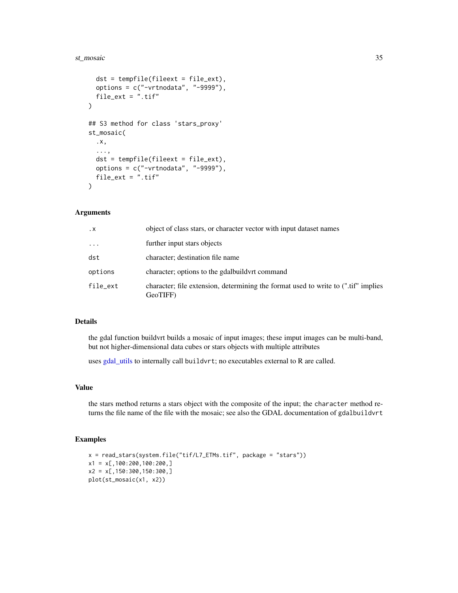#### <span id="page-34-0"></span>st\_mosaic 35

```
dst = tempfile(fileext = file_ext),
  options = c("-\varepsilon vrtnodata", "-9999"),
  file_ext = ".\text{tf}"\lambda## S3 method for class 'stars_proxy'
st_mosaic(
  .x,
  ...,
  dst = tempfile(fileext = file_ext),
  options = c("-vrtnodata", "-9999"),
  file_ext = ".\text{tf}")
```
#### Arguments

| $\cdot$ X | object of class stars, or character vector with input dataset names                            |
|-----------|------------------------------------------------------------------------------------------------|
| .         | further input stars objects                                                                    |
| dst       | character; destination file name                                                               |
| options   | character; options to the gdalbuild vert command                                               |
| file_ext  | character; file extension, determining the format used to write to (".tif" implies<br>GeoTIFF) |

## Details

the gdal function buildvrt builds a mosaic of input images; these imput images can be multi-band, but not higher-dimensional data cubes or stars objects with multiple attributes

uses [gdal\\_utils](#page-0-0) to internally call buildvrt; no executables external to R are called.

#### Value

the stars method returns a stars object with the composite of the input; the character method returns the file name of the file with the mosaic; see also the GDAL documentation of gdalbuildvrt

```
x = read_stars(system.file("tif/L7_ETMs.tif", package = "stars"))
x1 = x[,100:200,100:200,]
x2 = x[, 150:300, 150:300, ]plot(st_mosaic(x1, x2))
```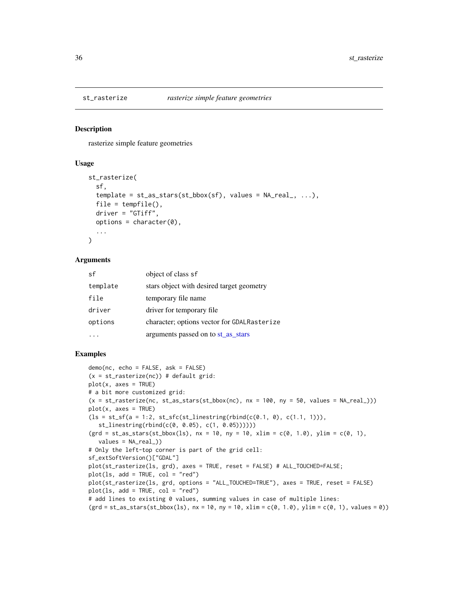<span id="page-35-0"></span>

rasterize simple feature geometries

#### Usage

```
st_rasterize(
  sf,
  template = st_as\_stars(st\_bbox(sf), values = NA\_real_1, ...),
  file = tempfile(),driver = "GTiff",
  options = character(0),
  ...
\mathcal{L}
```
## **Arguments**

| sf       | object of class sf                          |
|----------|---------------------------------------------|
| template | stars object with desired target geometry   |
| file     | temporary file name                         |
| driver   | driver for temporary file.                  |
| options  | character; options vector for GDALRasterize |
|          | arguments passed on to st_as_stars          |

```
demo(nc, echo = FALSE, ask = FALSE)
(x = st\_rasterize(nc)) # default grid:
plot(x, axes = TRUE)
# a bit more customized grid:
(x = st_{\text{r}} \cdot \text{r} = st_{\text{r}} \cdot \text{r} = (st_{\text{r}} \cdot \text{r} = st_{\text{r}} \cdot \text{r} = (st_{\text{r}} \cdot \text{r} = st_{\text{r}} \cdot \text{r} = 100, \text{ n} = 50, \text{ values } = \text{NA}_{\text{r}} \cdot \text{r} = (st_{\text{r}} \cdot \text{r} = st_{\text{r}} \cdot \text{r} = st_{\text{r}} \cdot \text{r} = st_{\text{r}} \cdot \text{r} = st_{\text{r}} \cdot \text{r} = st_{\text{r}} \cdot \textplot(x, axes = TRUE)(ls = st_s f(a = 1:2, st_s f(c(st_linestring(rbind(c(0.1, 0), c(1.1, 1))),st_linestring(rbind(c(0, 0.05), c(1, 0.05))))))
(\text{grd} = \text{st-as\_stars}(\text{st\_bbox}(ls), \text{nx} = 10, \text{ny} = 10, \text{ xlim} = \text{c}(0, 1.0), \text{ ylim} = \text{c}(0, 1),values = NA_real_))
# Only the left-top corner is part of the grid cell:
sf_extSoftVersion()["GDAL"]
plot(st_rasterize(ls, grd), axes = TRUE, reset = FALSE) # ALL_TOUCHED=FALSE;
plot(ls, add = TRUE, col = "red")
plot(st_rasterize(ls, grd, options = "ALL_TOUCHED=TRUE"), axes = TRUE, reset = FALSE)
plot(ls, add = TRUE, col = "red")# add lines to existing 0 values, summing values in case of multiple lines:
(\text{grd} = \text{st} _{\text{a}} \text{stars}(\text{st} _{\text{b}} \text{box}(1\text{s}), \text{nx} = 10, \text{ny} = 10, \text{ xlim} = c(0, 1.0), \text{ ylim} = c(0, 1), \text{ values} = 0))
```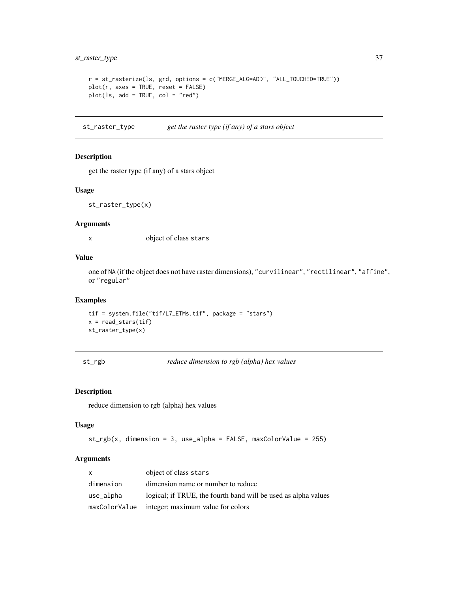```
r = st_rasterize(ls, grd, options = c("MERGE_ALG=ADD", "ALL_TOUCHED=TRUE"))
plot(r, axes = TRUE, reset = FALSE)
plot(ls, add = TRUE, col = "red")
```
st\_raster\_type *get the raster type (if any) of a stars object*

## Description

get the raster type (if any) of a stars object

## Usage

st\_raster\_type(x)

#### Arguments

x object of class stars

## Value

one of NA (if the object does not have raster dimensions), "curvilinear", "rectilinear", "affine", or "regular"

## Examples

tif = system.file("tif/L7\_ETMs.tif", package = "stars")  $x = read\_stars(tif)$ st\_raster\_type(x)

st\_rgb *reduce dimension to rgb (alpha) hex values*

#### Description

reduce dimension to rgb (alpha) hex values

#### Usage

```
st_rgb(x, dimension = 3, use_alpha = FALSE, maxColorValue = 255)
```

| $\mathsf{x}$ | object of class stars                                          |
|--------------|----------------------------------------------------------------|
| dimension    | dimension name or number to reduce                             |
| use_alpha    | logical; if TRUE, the fourth band will be used as alpha values |
|              | maxColorValue integer; maximum value for colors                |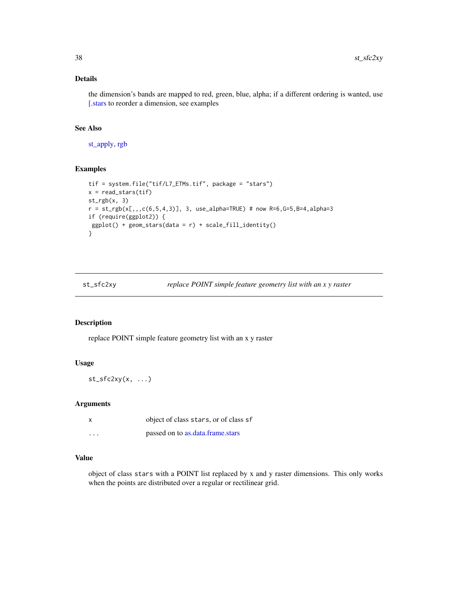## Details

the dimension's bands are mapped to red, green, blue, alpha; if a different ordering is wanted, use [\[.stars](#page-17-1) to reorder a dimension, see examples

## See Also

[st\\_apply,](#page-19-1) [rgb](#page-0-0)

## Examples

```
tif = system.file("tif/L7_ETMs.tif", package = "stars")
x = read\_stars(tif)st_rgb(x, 3)
r = st\_rgb(x[,.,c(6,5,4,3)], 3, use\_alpha=TRUE) # now R=6, G=5, B=4, alpha=3if (require(ggplot2)) {
ggplot() + geom_stars(data = r) + scale_fill_identity()
}
```

| st sfc2xy |
|-----------|
|-----------|

replace POINT simple feature geometry list with an x y raster

## Description

replace POINT simple feature geometry list with an x y raster

#### Usage

 $st_sfc2xy(x, \ldots)$ 

## Arguments

|          | object of class stars, or of class sf |
|----------|---------------------------------------|
| $\cdots$ | passed on to as.data.frame.stars      |

## Value

object of class stars with a POINT list replaced by x and y raster dimensions. This only works when the points are distributed over a regular or rectilinear grid.

<span id="page-37-0"></span>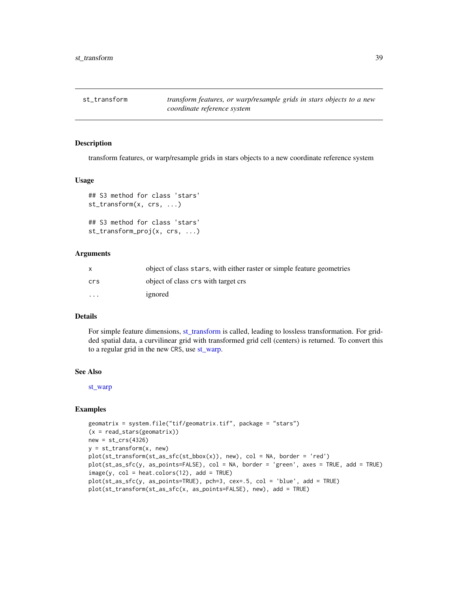<span id="page-38-1"></span><span id="page-38-0"></span>st\_transform *transform features, or warp/resample grids in stars objects to a new coordinate reference system*

#### Description

transform features, or warp/resample grids in stars objects to a new coordinate reference system

## Usage

```
## S3 method for class 'stars'
st_transform(x, crs, ...)
```

```
## S3 method for class 'stars'
st_transform_proj(x, crs, ...)
```
## Arguments

| X        | object of class stars, with either raster or simple feature geometries |
|----------|------------------------------------------------------------------------|
| crs      | object of class crs with target crs                                    |
| $\cdots$ | ignored                                                                |

## Details

For simple feature dimensions, [st\\_transform](#page-38-1) is called, leading to lossless transformation. For gridded spatial data, a curvilinear grid with transformed grid cell (centers) is returned. To convert this to a regular grid in the new CRS, use [st\\_warp.](#page-39-1)

#### See Also

[st\\_warp](#page-39-1)

```
geomatrix = system.file("tif/geomatrix.tif", package = "stars")
(x = read_stars(geomatrix))
new = st_crs(4326)
y = st_transform(x, new)
plot(st_transform(st_as_sfc(st_bbox(x)), new), col = NA, border = 'red')
plot(st_as_sfc(y, as_points=FALSE), col = NA, border = 'green', axes = TRUE, add = TRUE)
image(y, col = heatcolor(12), add = TRUE)plot(st_as_sfc(y, as_points=TRUE), pch=3, cex=.5, col = 'blue', add = TRUE)
plot(st_transform(st_as_sfc(x, as_points=FALSE), new), add = TRUE)
```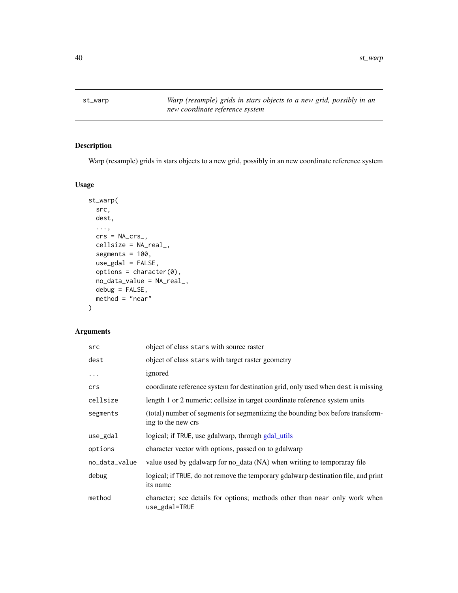<span id="page-39-1"></span><span id="page-39-0"></span>st\_warp *Warp (resample) grids in stars objects to a new grid, possibly in an new coordinate reference system*

## Description

Warp (resample) grids in stars objects to a new grid, possibly in an new coordinate reference system

## Usage

```
st_warp(
  src,
 dest,
  ...,
 crs = NA_crs_cellsize = NA_real_,
 segments = 100,
 use_gdal = FALSE,options = character(0),no_data_value = NA_real_,
 debug = FALSE,
 method = "near"
)
```

| src           | object of class stars with source raster                                                             |
|---------------|------------------------------------------------------------------------------------------------------|
| dest          | object of class stars with target raster geometry                                                    |
| $\cdots$      | ignored                                                                                              |
| crs           | coordinate reference system for destination grid, only used when dest is missing                     |
| cellsize      | length 1 or 2 numeric; cellsize in target coordinate reference system units                          |
| segments      | (total) number of segments for segmentizing the bounding box before transform-<br>ing to the new crs |
| use_gdal      | logical; if TRUE, use gdalwarp, through gdal_utils                                                   |
| options       | character vector with options, passed on to gdalwarp                                                 |
| no_data_value | value used by gdalwarp for no_data (NA) when writing to temporaray file                              |
| debug         | logical; if TRUE, do not remove the temporary gdalwarp destination file, and print<br>its name       |
| method        | character; see details for options; methods other than near only work when<br>use_gdal=TRUE          |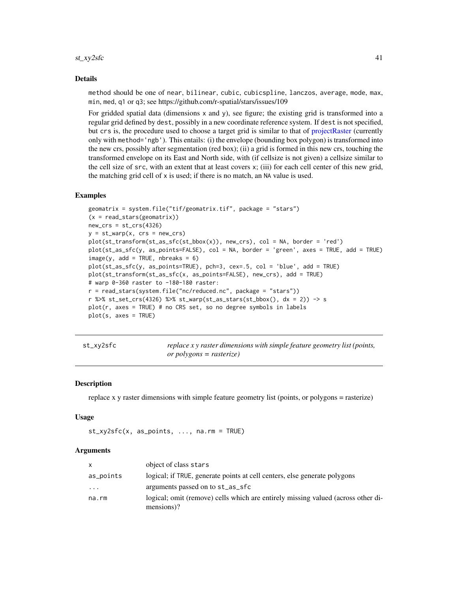#### <span id="page-40-0"></span> $st\_xyz$ sfc  $41$

#### Details

method should be one of near, bilinear, cubic, cubicspline, lanczos, average, mode, max, min, med, q1 or q3; see https://github.com/r-spatial/stars/issues/109

For gridded spatial data (dimensions x and y), see figure; the existing grid is transformed into a regular grid defined by dest, possibly in a new coordinate reference system. If dest is not specified, but crs is, the procedure used to choose a target grid is similar to that of [projectRaster](#page-0-0) (currently only with method='ngb'). This entails: (i) the envelope (bounding box polygon) is transformed into the new crs, possibly after segmentation (red box); (ii) a grid is formed in this new crs, touching the transformed envelope on its East and North side, with (if cellsize is not given) a cellsize similar to the cell size of src, with an extent that at least covers x; (iii) for each cell center of this new grid, the matching grid cell of x is used; if there is no match, an NA value is used.

#### Examples

```
geomatrix = system.file("tif/geomatrix.tif", package = "stars")
(x = read\_stars(geomatrix))new\_crs = st\_crs(4326)y = st_warp(x, crs = new_crs)plot(st_transform(st_as_sfc(st_bbox(x)), new_crs), col = NA, border = 'red')
plot(st_as_sfc(y, as_points=FALSE), col = NA, border = 'green', axes = TRUE, add = TRUE)
image(y, add = TRUE, nbreaks = 6)plot(st_as_sfc(y, as_points=TRUE), pch=3, cex=.5, col = 'blue', add = TRUE)
plot(st_transform(st_as_sfc(x, as_points=FALSE), new_crs), add = TRUE)
# warp 0-360 raster to -180-180 raster:
r = read_stars(system.file("nc/reduced.nc", package = "stars"))
r %>% st_set_crs(4326) %>% st_warp(st_as_stars(st_bbox(), dx = 2)) -> s
plot(r, axes = TRUE) # no CRS set, so no degree symbols in labels
plot(s, axes = TRUE)
```
st\_xy2sfc *replace x y raster dimensions with simple feature geometry list (points, or polygons = rasterize)*

## Description

replace x y raster dimensions with simple feature geometry list (points, or polygons = rasterize)

#### Usage

```
st_xy2sfc(x, as_points, ..., na.rm = TRUE)
```

| X         | object of class stars                                                                          |
|-----------|------------------------------------------------------------------------------------------------|
| as_points | logical; if TRUE, generate points at cell centers, else generate polygons                      |
| $\cdots$  | arguments passed on to st_as_sfc                                                               |
| na.rm     | logical; omit (remove) cells which are entirely missing valued (across other di-<br>mensions)? |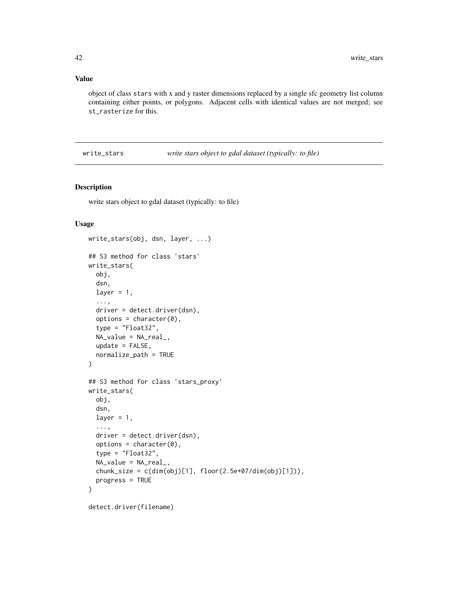## <span id="page-41-0"></span>Value

object of class stars with x and y raster dimensions replaced by a single sfc geometry list column containing either points, or polygons. Adjacent cells with identical values are not merged; see st\_rasterize for this.

write\_stars *write stars object to gdal dataset (typically: to file)*

#### Description

write stars object to gdal dataset (typically: to file)

## Usage

```
write_stars(obj, dsn, layer, ...)
## S3 method for class 'stars'
write_stars(
  obj,
  dsn,
  layer = 1,
  ...,
  driver = detect.driver(dsn),
  options = character(0),
  type = "Float32",
 NA_value = NA_real_,
  update = FALSE,normalize_path = TRUE
)
## S3 method for class 'stars_proxy'
write_stars(
  obj,
  dsn,
  layer = 1,
  ...,
  driver = detect.driver(dsn),
  options = character(0),
  type = "Float32",
  NA_value = NA_real_,
  chunk_size = c(dim(obj)[1], floor(2.5e+07/dim(obj)[1])),
 progress = TRUE
)
```
detect.driver(filename)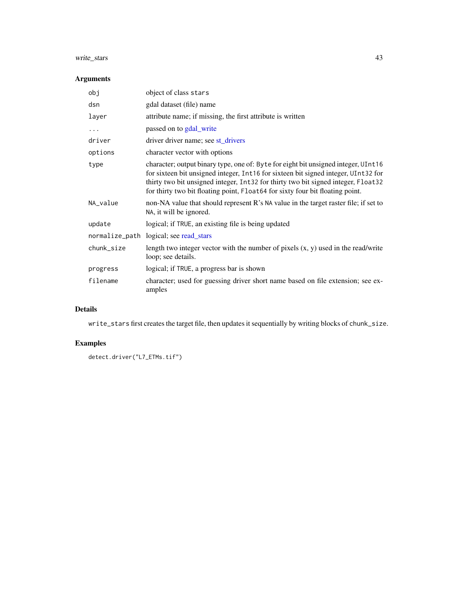## <span id="page-42-0"></span>write\_stars 43

## Arguments

| obj        | object of class stars                                                                                                                                                                                                                                                                                                                          |
|------------|------------------------------------------------------------------------------------------------------------------------------------------------------------------------------------------------------------------------------------------------------------------------------------------------------------------------------------------------|
| dsn        | gdal dataset (file) name                                                                                                                                                                                                                                                                                                                       |
| layer      | attribute name; if missing, the first attribute is written                                                                                                                                                                                                                                                                                     |
| $\cdots$   | passed on to gdal_write                                                                                                                                                                                                                                                                                                                        |
| driver     | driver driver name; see st_drivers                                                                                                                                                                                                                                                                                                             |
| options    | character vector with options                                                                                                                                                                                                                                                                                                                  |
| type       | character; output binary type, one of: Byte for eight bit unsigned integer, UInt16<br>for sixteen bit unsigned integer, Int16 for sixteen bit signed integer, UInt32 for<br>thirty two bit unsigned integer, Int32 for thirty two bit signed integer, Float32<br>for thirty two bit floating point, Float64 for sixty four bit floating point. |
| NA_value   | non-NA value that should represent R's NA value in the target raster file; if set to<br>NA, it will be ignored.                                                                                                                                                                                                                                |
| update     | logical; if TRUE, an existing file is being updated                                                                                                                                                                                                                                                                                            |
|            | normalize_path logical; see read_stars                                                                                                                                                                                                                                                                                                         |
| chunk_size | length two integer vector with the number of pixels $(x, y)$ used in the read/write<br>loop; see details.                                                                                                                                                                                                                                      |
| progress   | logical; if TRUE, a progress bar is shown                                                                                                                                                                                                                                                                                                      |
| filename   | character; used for guessing driver short name based on file extension; see ex-<br>amples                                                                                                                                                                                                                                                      |

## Details

write\_stars first creates the target file, then updates it sequentially by writing blocks of chunk\_size.

```
detect.driver("L7_ETMs.tif")
```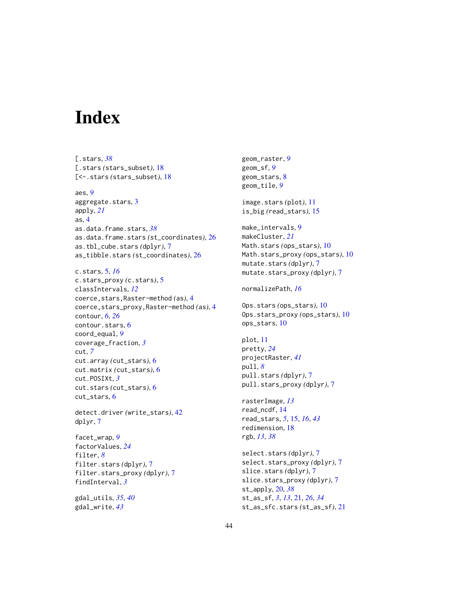# <span id="page-43-0"></span>Index

[.stars, *[38](#page-37-0)* [.stars *(*stars\_subset*)*, [18](#page-17-0) [<-.stars *(*stars\_subset*)*, [18](#page-17-0) aes, *[9](#page-8-0)* aggregate.stars, [3](#page-2-0) apply, *[21](#page-20-0)* as, [4](#page-3-0) as.data.frame.stars, *[38](#page-37-0)* as.data.frame.stars *(*st\_coordinates*)*, [26](#page-25-0) as.tbl\_cube.stars *(*dplyr*)*, [7](#page-6-0) as\_tibble.stars *(*st\_coordinates*)*, [26](#page-25-0) c.stars, [5,](#page-4-0) *[16](#page-15-0)* c.stars\_proxy *(*c.stars*)*, [5](#page-4-0) classIntervals, *[12](#page-11-0)* coerce,stars,Raster-method *(*as*)*, [4](#page-3-0) coerce,stars\_proxy,Raster-method *(*as*)*, [4](#page-3-0) contour, *[6](#page-5-0)*, *[26](#page-25-0)* contour.stars, [6](#page-5-0) coord\_equal, *[9](#page-8-0)* coverage\_fraction, *[3](#page-2-0)* cut, *[7](#page-6-0)* cut.array *(*cut\_stars*)*, [6](#page-5-0) cut.matrix *(*cut\_stars*)*, [6](#page-5-0) cut.POSIXt, *[3](#page-2-0)* cut.stars *(*cut\_stars*)*, [6](#page-5-0) cut\_stars, [6](#page-5-0) detect.driver *(*write\_stars*)*, [42](#page-41-0) dplyr, [7](#page-6-0) facet\_wrap, *[9](#page-8-0)*

factorValues, *[24](#page-23-0)* filter, *[8](#page-7-0)* filter.stars *(*dplyr*)*, [7](#page-6-0) filter.stars\_proxy *(*dplyr*)*, [7](#page-6-0) findInterval, *[3](#page-2-0)*

gdal\_utils, *[35](#page-34-0)*, *[40](#page-39-0)* gdal\_write, *[43](#page-42-0)*

geom\_raster, *[9](#page-8-0)* geom\_sf, *[9](#page-8-0)* geom\_stars, [8](#page-7-0) geom\_tile, *[9](#page-8-0)* image.stars *(*plot*)*, [11](#page-10-0) is\_big *(*read\_stars*)*, [15](#page-14-0) make\_intervals, [9](#page-8-0) makeCluster, *[21](#page-20-0)* Math.stars *(*ops\_stars*)*, [10](#page-9-0) Math.stars\_proxy *(*ops\_stars*)*, [10](#page-9-0) mutate.stars *(*dplyr*)*, [7](#page-6-0) mutate.stars\_proxy *(*dplyr*)*, [7](#page-6-0) normalizePath, *[16](#page-15-0)* Ops.stars *(*ops\_stars*)*, [10](#page-9-0) Ops.stars\_proxy *(*ops\_stars*)*, [10](#page-9-0) ops\_stars, [10](#page-9-0) plot, [11](#page-10-0) pretty, *[24](#page-23-0)* projectRaster, *[41](#page-40-0)* pull, *[8](#page-7-0)* pull.stars *(*dplyr*)*, [7](#page-6-0) pull.stars\_proxy *(*dplyr*)*, [7](#page-6-0) rasterImage, *[13](#page-12-0)* read\_ncdf, [14](#page-13-0) read\_stars, *[5](#page-4-0)*, [15,](#page-14-0) *[16](#page-15-0)*, *[43](#page-42-0)* redimension, [18](#page-17-0) rgb, *[13](#page-12-0)*, *[38](#page-37-0)* select.stars *(*dplyr*)*, [7](#page-6-0) select.stars\_proxy *(*dplyr*)*, [7](#page-6-0) slice.stars *(*dplyr*)*, [7](#page-6-0) slice.stars\_proxy *(*dplyr*)*, [7](#page-6-0) st\_apply, [20,](#page-19-0) *[38](#page-37-0)* st\_as\_sf, *[3](#page-2-0)*, *[13](#page-12-0)*, [21,](#page-20-0) *[26](#page-25-0)*, *[34](#page-33-0)*

st\_as\_sfc.stars *(*st\_as\_sf*)*, [21](#page-20-0)